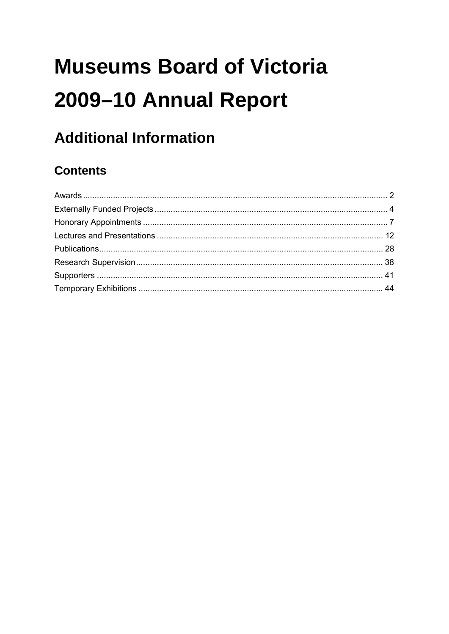# **Museums Board of Victoria** 2009-10 Annual Report

## **Additional Information**

## **Contents**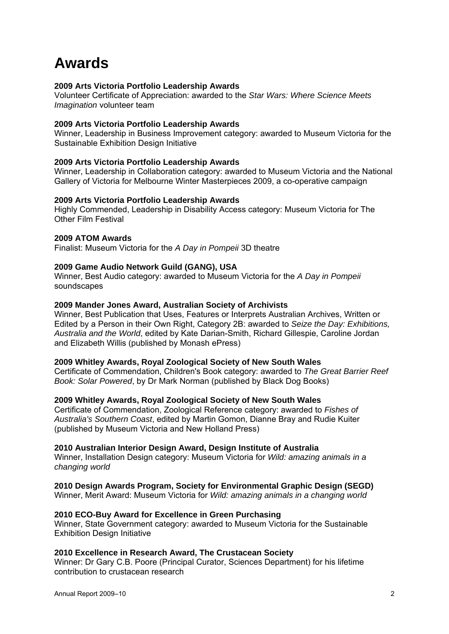## **Awards**

#### **2009 Arts Victoria Portfolio Leadership Awards**

Volunteer Certificate of Appreciation: awarded to the *Star Wars: Where Science Meets Imagination* volunteer team

#### **2009 Arts Victoria Portfolio Leadership Awards**

Winner, Leadership in Business Improvement category: awarded to Museum Victoria for the Sustainable Exhibition Design Initiative

#### **2009 Arts Victoria Portfolio Leadership Awards**

Winner, Leadership in Collaboration category: awarded to Museum Victoria and the National Gallery of Victoria for Melbourne Winter Masterpieces 2009, a co-operative campaign

#### **2009 Arts Victoria Portfolio Leadership Awards**

Highly Commended, Leadership in Disability Access category: Museum Victoria for The Other Film Festival

#### **2009 ATOM Awards**

Finalist: Museum Victoria for the *A Day in Pompeii* 3D theatre

#### **2009 Game Audio Network Guild (GANG), USA**

Winner, Best Audio category: awarded to Museum Victoria for the *A Day in Pompeii* soundscapes

#### **2009 Mander Jones Award, Australian Society of Archivists**

Winner, Best Publication that Uses, Features or Interprets Australian Archives, Written or Edited by a Person in their Own Right, Category 2B: awarded to *Seize the Day: Exhibitions, Australia and the World*, edited by Kate Darian-Smith, Richard Gillespie, Caroline Jordan and Elizabeth Willis (published by Monash ePress)

#### **2009 Whitley Awards, Royal Zoological Society of New South Wales**

Certificate of Commendation, Children's Book category: awarded to *The Great Barrier Reef Book: Solar Powered*, by Dr Mark Norman (published by Black Dog Books)

#### **2009 Whitley Awards, Royal Zoological Society of New South Wales**

Certificate of Commendation, Zoological Reference category: awarded to *Fishes of Australia's Southern Coast*, edited by Martin Gomon, Dianne Bray and Rudie Kuiter (published by Museum Victoria and New Holland Press)

#### **2010 Australian Interior Design Award, Design Institute of Australia**

Winner, Installation Design category: Museum Victoria for *Wild: amazing animals in a changing world*

#### **2010 Design Awards Program, Society for Environmental Graphic Design (SEGD)**

Winner, Merit Award: Museum Victoria for *Wild: amazing animals in a changing world*

#### **2010 ECO-Buy Award for Excellence in Green Purchasing**

Winner, State Government category: awarded to Museum Victoria for the Sustainable Exhibition Design Initiative

#### **2010 Excellence in Research Award, The Crustacean Society**

Winner: Dr Gary C.B. Poore (Principal Curator, Sciences Department) for his lifetime contribution to crustacean research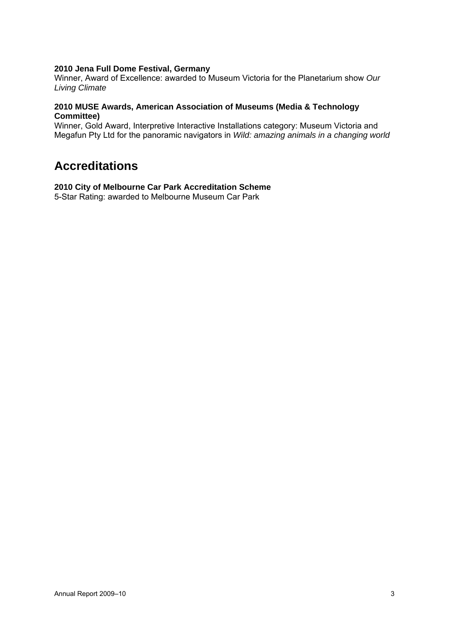#### **2010 Jena Full Dome Festival, Germany**

Winner, Award of Excellence: awarded to Museum Victoria for the Planetarium show *Our Living Climate* 

#### **2010 MUSE Awards, American Association of Museums (Media & Technology Committee)**

Winner, Gold Award, Interpretive Interactive Installations category: Museum Victoria and Megafun Pty Ltd for the panoramic navigators in *Wild: amazing animals in a changing world*

## **Accreditations**

#### **2010 City of Melbourne Car Park Accreditation Scheme**

5-Star Rating: awarded to Melbourne Museum Car Park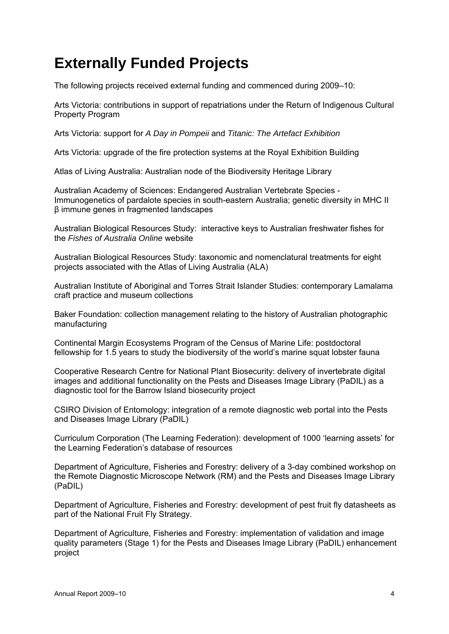## **Externally Funded Projects**

The following projects received external funding and commenced during 2009–10:

Arts Victoria: contributions in support of repatriations under the Return of Indigenous Cultural Property Program

Arts Victoria: support for *A Day in Pompeii* and *Titanic: The Artefact Exhibition*

Arts Victoria: upgrade of the fire protection systems at the Royal Exhibition Building

Atlas of Living Australia: Australian node of the Biodiversity Heritage Library

Australian Academy of Sciences: Endangered Australian Vertebrate Species - Immunogenetics of pardalote species in south-eastern Australia; genetic diversity in MHC II β immune genes in fragmented landscapes

Australian Biological Resources Study: interactive keys to Australian freshwater fishes for the *Fishes of Australia Online* website

Australian Biological Resources Study: taxonomic and nomenclatural treatments for eight projects associated with the Atlas of Living Australia (ALA)

Australian Institute of Aboriginal and Torres Strait Islander Studies: contemporary Lamalama craft practice and museum collections

Baker Foundation: collection management relating to the history of Australian photographic manufacturing

Continental Margin Ecosystems Program of the Census of Marine Life: postdoctoral fellowship for 1.5 years to study the biodiversity of the world's marine squat lobster fauna

Cooperative Research Centre for National Plant Biosecurity: delivery of invertebrate digital images and additional functionality on the Pests and Diseases Image Library (PaDIL) as a diagnostic tool for the Barrow Island biosecurity project

CSIRO Division of Entomology: integration of a remote diagnostic web portal into the Pests and Diseases Image Library (PaDIL)

Curriculum Corporation (The Learning Federation): development of 1000 'learning assets' for the Learning Federation's database of resources

Department of Agriculture, Fisheries and Forestry: delivery of a 3-day combined workshop on the Remote Diagnostic Microscope Network (RM) and the Pests and Diseases Image Library (PaDIL)

Department of Agriculture, Fisheries and Forestry: development of pest fruit fly datasheets as part of the National Fruit Fly Strategy.

Department of Agriculture, Fisheries and Forestry: implementation of validation and image quality parameters (Stage 1) for the Pests and Diseases Image Library (PaDIL) enhancement project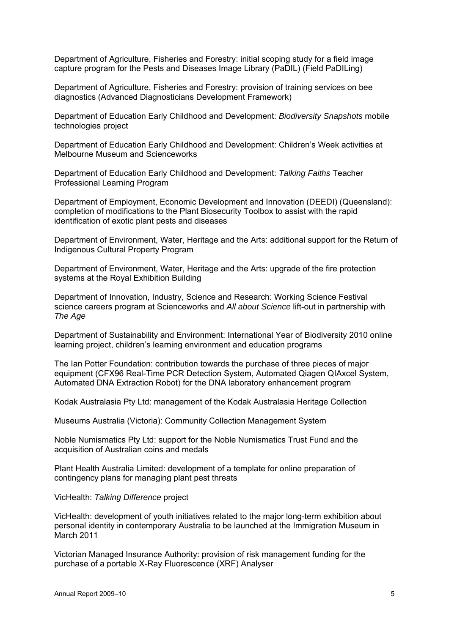Department of Agriculture, Fisheries and Forestry: initial scoping study for a field image capture program for the Pests and Diseases Image Library (PaDIL) (Field PaDILing)

Department of Agriculture, Fisheries and Forestry: provision of training services on bee diagnostics (Advanced Diagnosticians Development Framework)

Department of Education Early Childhood and Development: *Biodiversity Snapshots* mobile technologies project

Department of Education Early Childhood and Development: Children's Week activities at Melbourne Museum and Scienceworks

Department of Education Early Childhood and Development: *Talking Faiths* Teacher Professional Learning Program

Department of Employment, Economic Development and Innovation (DEEDI) (Queensland): completion of modifications to the Plant Biosecurity Toolbox to assist with the rapid identification of exotic plant pests and diseases

Department of Environment, Water, Heritage and the Arts: additional support for the Return of Indigenous Cultural Property Program

Department of Environment, Water, Heritage and the Arts: upgrade of the fire protection systems at the Royal Exhibition Building

Department of Innovation, Industry, Science and Research: Working Science Festival science careers program at Scienceworks and *All about Science* lift-out in partnership with *The Age*

Department of Sustainability and Environment: International Year of Biodiversity 2010 online learning project, children's learning environment and education programs

The Ian Potter Foundation: contribution towards the purchase of three pieces of major equipment (CFX96 Real-Time PCR Detection System, Automated Qiagen QIAxcel System, Automated DNA Extraction Robot) for the DNA laboratory enhancement program

Kodak Australasia Pty Ltd: management of the Kodak Australasia Heritage Collection

Museums Australia (Victoria): Community Collection Management System

Noble Numismatics Pty Ltd: support for the Noble Numismatics Trust Fund and the acquisition of Australian coins and medals

Plant Health Australia Limited: development of a template for online preparation of contingency plans for managing plant pest threats

#### VicHealth: *Talking Difference* project

VicHealth: development of youth initiatives related to the major long-term exhibition about personal identity in contemporary Australia to be launched at the Immigration Museum in March 2011

Victorian Managed Insurance Authority: provision of risk management funding for the purchase of a portable X-Ray Fluorescence (XRF) Analyser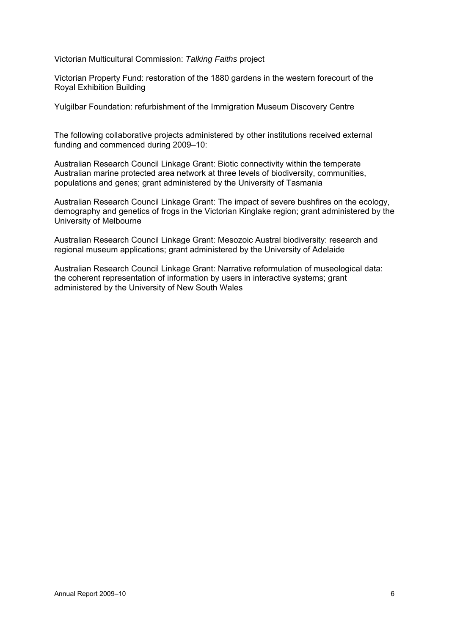Victorian Multicultural Commission: *Talking Faiths* project

Victorian Property Fund: restoration of the 1880 gardens in the western forecourt of the Royal Exhibition Building

Yulgilbar Foundation: refurbishment of the Immigration Museum Discovery Centre

The following collaborative projects administered by other institutions received external funding and commenced during 2009–10:

Australian Research Council Linkage Grant: Biotic connectivity within the temperate Australian marine protected area network at three levels of biodiversity, communities, populations and genes; grant administered by the University of Tasmania

Australian Research Council Linkage Grant: The impact of severe bushfires on the ecology, demography and genetics of frogs in the Victorian Kinglake region; grant administered by the University of Melbourne

Australian Research Council Linkage Grant: Mesozoic Austral biodiversity: research and regional museum applications; grant administered by the University of Adelaide

Australian Research Council Linkage Grant: Narrative reformulation of museological data: the coherent representation of information by users in interactive systems; grant administered by the University of New South Wales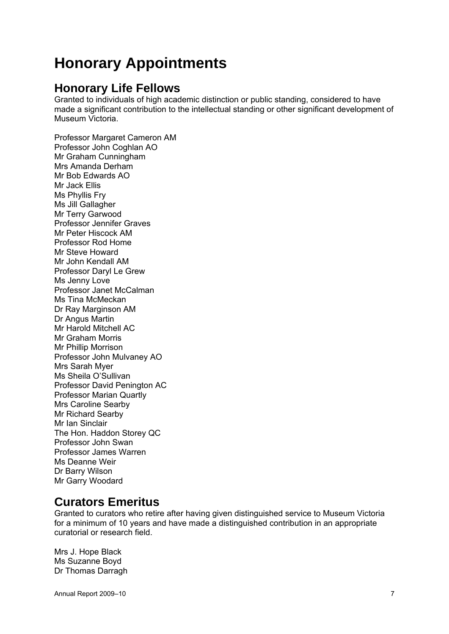## **Honorary Appointments**

## **Honorary Life Fellows**

Granted to individuals of high academic distinction or public standing, considered to have made a significant contribution to the intellectual standing or other significant development of Museum Victoria.

Professor Margaret Cameron AM Professor John Coghlan AO Mr Graham Cunningham Mrs Amanda Derham Mr Bob Edwards AO Mr Jack Ellis Ms Phyllis Fry Ms Jill Gallagher Mr Terry Garwood Professor Jennifer Graves Mr Peter Hiscock AM Professor Rod Home Mr Steve Howard Mr John Kendall AM Professor Daryl Le Grew Ms Jenny Love Professor Janet McCalman Ms Tina McMeckan Dr Ray Marginson AM Dr Angus Martin Mr Harold Mitchell AC Mr Graham Morris Mr Phillip Morrison Professor John Mulvaney AO Mrs Sarah Myer Ms Sheila O'Sullivan Professor David Penington AC Professor Marian Quartly Mrs Caroline Searby Mr Richard Searby Mr Ian Sinclair The Hon. Haddon Storey QC Professor John Swan Professor James Warren Ms Deanne Weir Dr Barry Wilson Mr Garry Woodard

### **Curators Emeritus**

Granted to curators who retire after having given distinguished service to Museum Victoria for a minimum of 10 years and have made a distinguished contribution in an appropriate curatorial or research field.

Mrs J. Hope Black Ms Suzanne Boyd Dr Thomas Darragh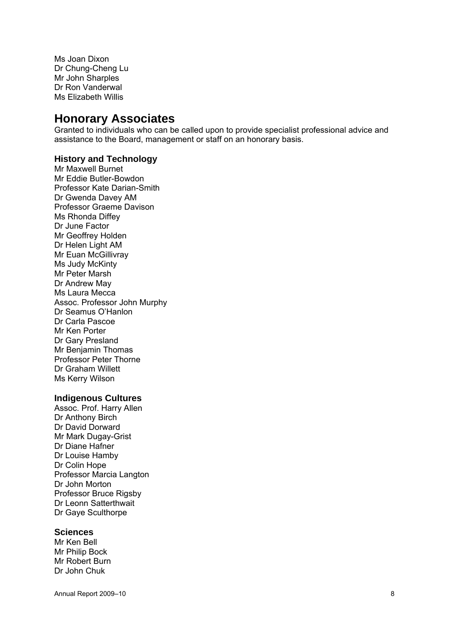Ms Joan Dixon Dr Chung-Cheng Lu Mr John Sharples Dr Ron Vanderwal Ms Elizabeth Willis

### **Honorary Associates**

Granted to individuals who can be called upon to provide specialist professional advice and assistance to the Board, management or staff on an honorary basis.

#### **History and Technology**

Mr Maxwell Burnet Mr Eddie Butler-Bowdon Professor Kate Darian-Smith Dr Gwenda Davey AM Professor Graeme Davison Ms Rhonda Diffey Dr June Factor Mr Geoffrey Holden Dr Helen Light AM Mr Euan McGillivray Ms Judy McKinty Mr Peter Marsh Dr Andrew May Ms Laura Mecca Assoc. Professor John Murphy Dr Seamus O'Hanlon Dr Carla Pascoe Mr Ken Porter Dr Gary Presland Mr Benjamin Thomas Professor Peter Thorne Dr Graham Willett Ms Kerry Wilson

#### **Indigenous Cultures**

Assoc. Prof. Harry Allen Dr Anthony Birch Dr David Dorward Mr Mark Dugay-Grist Dr Diane Hafner Dr Louise Hamby Dr Colin Hope Professor Marcia Langton Dr John Morton Professor Bruce Rigsby Dr Leonn Satterthwait Dr Gaye Sculthorpe

#### **Sciences**

Mr Ken Bell Mr Philip Bock Mr Robert Burn Dr John Chuk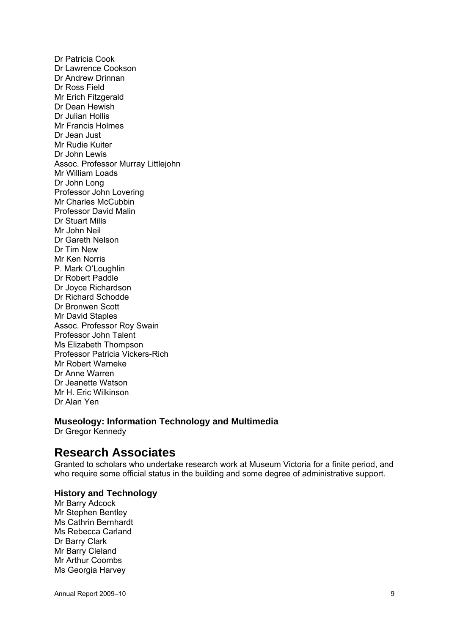Dr Patricia Cook Dr Lawrence Cookson Dr Andrew Drinnan Dr Ross Field Mr Erich Fitzgerald Dr Dean Hewish Dr Julian Hollis Mr Francis Holmes Dr Jean Just Mr Rudie Kuiter Dr John Lewis Assoc. Professor Murray Littlejohn Mr William Loads Dr John Long Professor John Lovering Mr Charles McCubbin Professor David Malin Dr Stuart Mills Mr John Neil Dr Gareth Nelson Dr Tim New Mr Ken Norris P. Mark O'Loughlin Dr Robert Paddle Dr Joyce Richardson Dr Richard Schodde Dr Bronwen Scott Mr David Staples Assoc. Professor Roy Swain Professor John Talent Ms Elizabeth Thompson Professor Patricia Vickers-Rich Mr Robert Warneke Dr Anne Warren Dr Jeanette Watson Mr H. Eric Wilkinson Dr Alan Yen

#### **Museology: Information Technology and Multimedia**

Dr Gregor Kennedy

### **Research Associates**

Granted to scholars who undertake research work at Museum Victoria for a finite period, and who require some official status in the building and some degree of administrative support.

#### **History and Technology**

Mr Barry Adcock Mr Stephen Bentley Ms Cathrin Bernhardt Ms Rebecca Carland Dr Barry Clark Mr Barry Cleland Mr Arthur Coombs Ms Georgia Harvey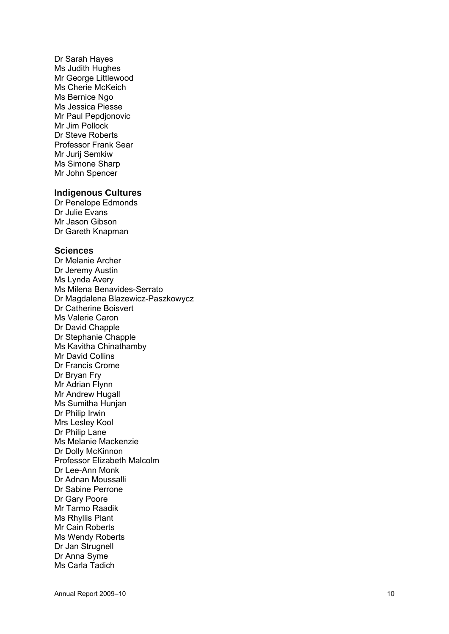Dr Sarah Hayes Ms Judith Hughes Mr George Littlewood Ms Cherie McKeich Ms Bernice Ngo Ms Jessica Piesse Mr Paul Pepdjonovic Mr Jim Pollock Dr Steve Roberts Professor Frank Sear Mr Jurij Semkiw Ms Simone Sharp Mr John Spencer

#### **Indigenous Cultures**

Dr Penelope Edmonds Dr Julie Evans Mr Jason Gibson Dr Gareth Knapman

#### **Sciences**

Dr Melanie Archer Dr Jeremy Austin Ms Lynda Avery Ms Milena Benavides-Serrato Dr Magdalena Blazewicz-Paszkowycz Dr Catherine Boisvert Ms Valerie Caron Dr David Chapple Dr Stephanie Chapple Ms Kavitha Chinathamby Mr David Collins Dr Francis Crome Dr Bryan Fry Mr Adrian Flynn Mr Andrew Hugall Ms Sumitha Hunjan Dr Philip Irwin Mrs Lesley Kool Dr Philip Lane Ms Melanie Mackenzie Dr Dolly McKinnon Professor Elizabeth Malcolm Dr Lee-Ann Monk Dr Adnan Moussalli Dr Sabine Perrone Dr Gary Poore Mr Tarmo Raadik Ms Rhyllis Plant Mr Cain Roberts Ms Wendy Roberts Dr Jan Strugnell Dr Anna Syme Ms Carla Tadich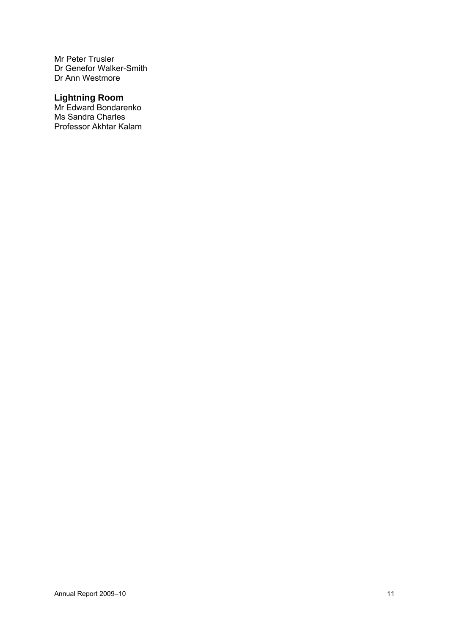Mr Peter Trusler Dr Genefor Walker-Smith Dr Ann Westmore

### **Lightning Room**

Mr Edward Bondarenko Ms Sandra Charles Professor Akhtar Kalam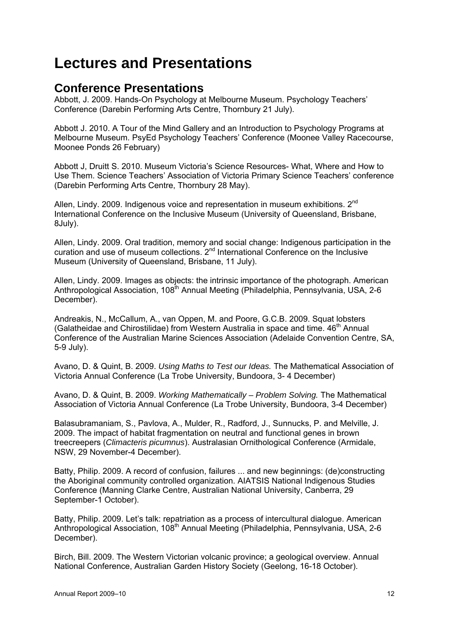## **Lectures and Presentations**

## **Conference Presentations**

Abbott, J. 2009. Hands-On Psychology at Melbourne Museum. Psychology Teachers' Conference (Darebin Performing Arts Centre, Thornbury 21 July).

Abbott J. 2010. A Tour of the Mind Gallery and an Introduction to Psychology Programs at Melbourne Museum. PsyEd Psychology Teachers' Conference (Moonee Valley Racecourse, Moonee Ponds 26 February)

Abbott J, Druitt S. 2010. Museum Victoria's Science Resources- What, Where and How to Use Them. Science Teachers' Association of Victoria Primary Science Teachers' conference (Darebin Performing Arts Centre, Thornbury 28 May).

Allen, Lindy. 2009. Indigenous voice and representation in museum exhibitions. 2<sup>nd</sup> International Conference on the Inclusive Museum (University of Queensland, Brisbane, 8July).

Allen, Lindy. 2009. Oral tradition, memory and social change: Indigenous participation in the curation and use of museum collections. 2<sup>nd</sup> International Conference on the Inclusive Museum (University of Queensland, Brisbane, 11 July).

Allen, Lindy. 2009. Images as objects: the intrinsic importance of the photograph. American Anthropological Association, 108<sup>th</sup> Annual Meeting (Philadelphia, Pennsylvania, USA, 2-6 December).

Andreakis, N., McCallum, A., van Oppen, M. and Poore, G.C.B. 2009. Squat lobsters (Galatheidae and Chirostilidae) from Western Australia in space and time.  $46<sup>th</sup>$  Annual Conference of the Australian Marine Sciences Association (Adelaide Convention Centre, SA, 5-9 July).

Avano, D. & Quint, B. 2009. *Using Maths to Test our Ideas.* The Mathematical Association of Victoria Annual Conference (La Trobe University, Bundoora, 3- 4 December)

Avano, D. & Quint, B. 2009. *Working Mathematically – Problem Solving.* The Mathematical Association of Victoria Annual Conference (La Trobe University, Bundoora, 3-4 December)

Balasubramaniam, S., Pavlova, A., Mulder, R., Radford, J., Sunnucks, P. and Melville, J. 2009. The impact of habitat fragmentation on neutral and functional genes in brown treecreepers (*Climacteris picumnus*). Australasian Ornithological Conference (Armidale, NSW, 29 November-4 December).

Batty, Philip. 2009. A record of confusion, failures ... and new beginnings: (de)constructing the Aboriginal community controlled organization. AIATSIS National Indigenous Studies Conference (Manning Clarke Centre, Australian National University, Canberra, 29 September-1 October).

Batty, Philip. 2009. Let's talk: repatriation as a process of intercultural dialogue. American Anthropological Association, 108<sup>th</sup> Annual Meeting (Philadelphia, Pennsylvania, USA, 2-6 December).

Birch, Bill. 2009. The Western Victorian volcanic province; a geological overview. Annual National Conference, Australian Garden History Society (Geelong, 16-18 October).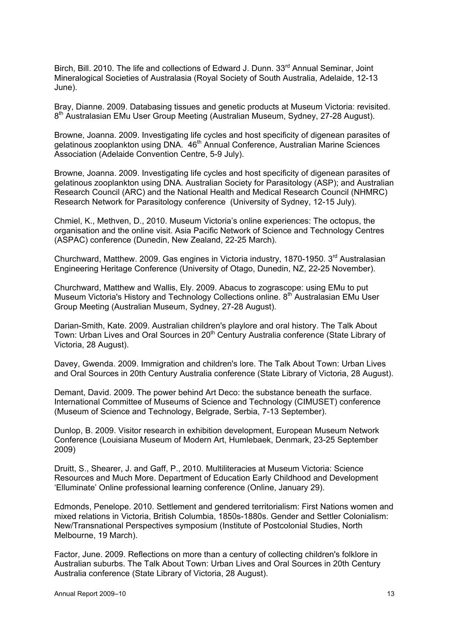Birch, Bill. 2010. The life and collections of Edward J. Dunn. 33<sup>rd</sup> Annual Seminar, Joint Mineralogical Societies of Australasia (Royal Society of South Australia, Adelaide, 12-13 June).

Bray, Dianne. 2009. Databasing tissues and genetic products at Museum Victoria: revisited. 8<sup>th</sup> Australasian EMu User Group Meeting (Australian Museum, Sydney, 27-28 August).

Browne, Joanna. 2009. Investigating life cycles and host specificity of digenean parasites of gelatinous zooplankton using DNA. 46<sup>th</sup> Annual Conference, Australian Marine Sciences Association (Adelaide Convention Centre, 5-9 July).

Browne, Joanna. 2009. Investigating life cycles and host specificity of digenean parasites of gelatinous zooplankton using DNA. Australian Society for Parasitology (ASP); and Australian Research Council (ARC) and the National Health and Medical Research Council (NHMRC) Research Network for Parasitology conference (University of Sydney, 12-15 July).

Chmiel, K., Methven, D., 2010. Museum Victoria's online experiences: The octopus, the organisation and the online visit. Asia Pacific Network of Science and Technology Centres (ASPAC) conference (Dunedin, New Zealand, 22-25 March).

Churchward, Matthew. 2009. Gas engines in Victoria industry, 1870-1950. 3<sup>rd</sup> Australasian Engineering Heritage Conference (University of Otago, Dunedin, NZ, 22-25 November).

Churchward, Matthew and Wallis, Ely. 2009. Abacus to zograscope: using EMu to put Museum Victoria's History and Technology Collections online. 8<sup>th</sup> Australasian EMu User Group Meeting (Australian Museum, Sydney, 27-28 August).

Darian-Smith, Kate. 2009. Australian children's playlore and oral history. The Talk About Town: Urban Lives and Oral Sources in 20<sup>th</sup> Century Australia conference (State Library of Victoria, 28 August).

Davey, Gwenda. 2009. Immigration and children's lore. The Talk About Town: Urban Lives and Oral Sources in 20th Century Australia conference (State Library of Victoria, 28 August).

Demant, David. 2009. The power behind Art Deco: the substance beneath the surface. International Committee of Museums of Science and Technology (CIMUSET) conference (Museum of Science and Technology, Belgrade, Serbia, 7-13 September).

Dunlop, B. 2009. Visitor research in exhibition development, European Museum Network Conference (Louisiana Museum of Modern Art, Humlebaek, Denmark, 23-25 September 2009)

Druitt, S., Shearer, J. and Gaff, P., 2010. Multiliteracies at Museum Victoria: Science Resources and Much More. Department of Education Early Childhood and Development 'Elluminate' Online professional learning conference (Online, January 29).

Edmonds, Penelope. 2010. Settlement and gendered territorialism: First Nations women and mixed relations in Victoria, British Columbia, 1850s-1880s. Gender and Settler Colonialism: New/Transnational Perspectives symposium (Institute of Postcolonial Studies, North Melbourne, 19 March).

Factor, June. 2009. Reflections on more than a century of collecting children's folklore in Australian suburbs. The Talk About Town: Urban Lives and Oral Sources in 20th Century Australia conference (State Library of Victoria, 28 August).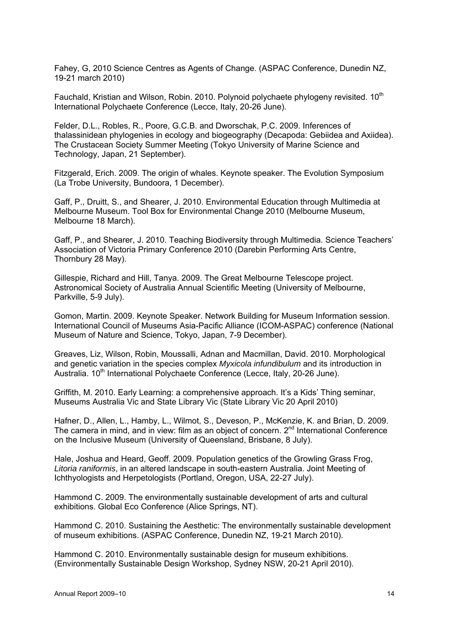Fahey, G, 2010 Science Centres as Agents of Change. (ASPAC Conference, Dunedin NZ, 19-21 march 2010)

Fauchald, Kristian and Wilson, Robin. 2010. Polynoid polychaete phylogeny revisited. 10<sup>th</sup> International Polychaete Conference (Lecce, Italy, 20-26 June).

Felder, D.L., Robles, R., Poore, G.C.B. and Dworschak, P.C. 2009. Inferences of thalassinidean phylogenies in ecology and biogeography (Decapoda: Gebiidea and Axiidea). The Crustacean Society Summer Meeting (Tokyo University of Marine Science and Technology, Japan, 21 September).

Fitzgerald, Erich. 2009. The origin of whales. Keynote speaker. The Evolution Symposium (La Trobe University, Bundoora, 1 December).

Gaff, P., Druitt, S., and Shearer, J. 2010. Environmental Education through Multimedia at Melbourne Museum. Tool Box for Environmental Change 2010 (Melbourne Museum, Melbourne 18 March).

Gaff, P., and Shearer, J. 2010. Teaching Biodiversity through Multimedia. Science Teachers' Association of Victoria Primary Conference 2010 (Darebin Performing Arts Centre, Thornbury 28 May).

Gillespie, Richard and Hill, Tanya. 2009. The Great Melbourne Telescope project. Astronomical Society of Australia Annual Scientific Meeting (University of Melbourne, Parkville, 5-9 July).

Gomon, Martin. 2009. Keynote Speaker. Network Building for Museum Information session. International Council of Museums Asia-Pacific Alliance (ICOM-ASPAC) conference (National Museum of Nature and Science, Tokyo, Japan, 7-9 December).

Greaves, Liz, Wilson, Robin, Moussalli, Adnan and Macmillan, David. 2010. Morphological and genetic variation in the species complex *Myxicola infundibulum* and its introduction in Australia. 10<sup>th</sup> International Polychaete Conference (Lecce, Italy, 20-26 June).

Griffith, M. 2010. Early Learning: a comprehensive approach. It's a Kids' Thing seminar, Museums Australia Vic and State Library Vic (State Library Vic 20 April 2010)

Hafner, D., Allen, L., Hamby, L., Wilmot, S., Deveson, P., McKenzie, K. and Brian, D. 2009. The camera in mind, and in view: film as an object of concern. 2<sup>nd</sup> International Conference on the Inclusive Museum (University of Queensland, Brisbane, 8 July).

Hale, Joshua and Heard, Geoff. 2009. Population genetics of the Growling Grass Frog, *Litoria raniformis*, in an altered landscape in south-eastern Australia. Joint Meeting of Ichthyologists and Herpetologists (Portland, Oregon, USA, 22-27 July).

Hammond C. 2009. The environmentally sustainable development of arts and cultural exhibitions. Global Eco Conference (Alice Springs, NT).

Hammond C. 2010. Sustaining the Aesthetic: The environmentally sustainable development of museum exhibitions. (ASPAC Conference, Dunedin NZ, 19-21 March 2010).

Hammond C. 2010. Environmentally sustainable design for museum exhibitions. (Environmentally Sustainable Design Workshop, Sydney NSW, 20-21 April 2010).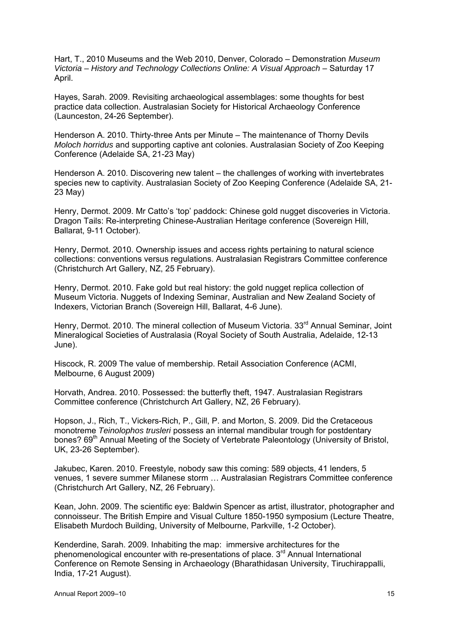Hart, T., 2010 Museums and the Web 2010, Denver, Colorado – Demonstration *Museum Victoria – History and Technology Collections Online: A Visual Approach – Saturday 17* April.

Hayes, Sarah. 2009. Revisiting archaeological assemblages: some thoughts for best practice data collection. Australasian Society for Historical Archaeology Conference (Launceston, 24-26 September).

Henderson A. 2010. Thirty-three Ants per Minute – The maintenance of Thorny Devils *Moloch horridus* and supporting captive ant colonies. Australasian Society of Zoo Keeping Conference (Adelaide SA, 21-23 May)

Henderson A. 2010. Discovering new talent – the challenges of working with invertebrates species new to captivity. Australasian Society of Zoo Keeping Conference (Adelaide SA, 21- 23 May)

Henry, Dermot. 2009. Mr Catto's 'top' paddock: Chinese gold nugget discoveries in Victoria. Dragon Tails: Re-interpreting Chinese-Australian Heritage conference (Sovereign Hill, Ballarat, 9-11 October).

Henry, Dermot. 2010. Ownership issues and access rights pertaining to natural science collections: conventions versus regulations. Australasian Registrars Committee conference (Christchurch Art Gallery, NZ, 25 February).

Henry, Dermot. 2010. Fake gold but real history: the gold nugget replica collection of Museum Victoria. Nuggets of Indexing Seminar, Australian and New Zealand Society of Indexers, Victorian Branch (Sovereign Hill, Ballarat, 4-6 June).

Henry, Dermot. 2010. The mineral collection of Museum Victoria. 33<sup>rd</sup> Annual Seminar, Joint Mineralogical Societies of Australasia (Royal Society of South Australia, Adelaide, 12-13 June).

Hiscock, R. 2009 The value of membership. Retail Association Conference (ACMI, Melbourne, 6 August 2009)

Horvath, Andrea. 2010. Possessed: the butterfly theft, 1947. Australasian Registrars Committee conference (Christchurch Art Gallery, NZ, 26 February).

Hopson, J., Rich, T., Vickers-Rich, P., Gill, P. and Morton, S. 2009. Did the Cretaceous monotreme *Teinolophos trusleri* possess an internal mandibular trough for postdentary bones? 69<sup>th</sup> Annual Meeting of the Society of Vertebrate Paleontology (University of Bristol, UK, 23-26 September).

Jakubec, Karen. 2010. Freestyle, nobody saw this coming: 589 objects, 41 lenders, 5 venues, 1 severe summer Milanese storm … Australasian Registrars Committee conference (Christchurch Art Gallery, NZ, 26 February).

Kean, John. 2009. The scientific eye: Baldwin Spencer as artist, illustrator, photographer and connoisseur. The British Empire and Visual Culture 1850-1950 symposium (Lecture Theatre, Elisabeth Murdoch Building, University of Melbourne, Parkville, 1-2 October).

Kenderdine, Sarah. 2009. Inhabiting the map: immersive architectures for the phenomenological encounter with re-presentations of place.  $3<sup>rd</sup>$  Annual International Conference on Remote Sensing in Archaeology (Bharathidasan University, Tiruchirappalli, India, 17-21 August).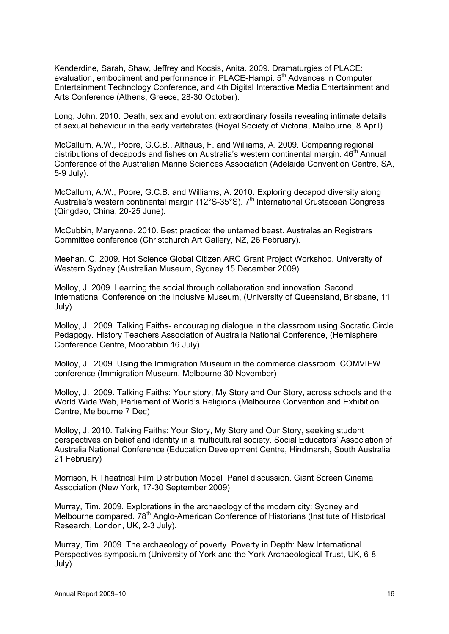Kenderdine, Sarah, Shaw, Jeffrey and Kocsis, Anita. 2009. Dramaturgies of PLACE: evaluation, embodiment and performance in PLACE-Hampi. 5<sup>th</sup> Advances in Computer Entertainment Technology Conference, and 4th Digital Interactive Media Entertainment and Arts Conference (Athens, Greece, 28-30 October).

Long, John. 2010. Death, sex and evolution: extraordinary fossils revealing intimate details of sexual behaviour in the early vertebrates (Royal Society of Victoria, Melbourne, 8 April).

McCallum, A.W., Poore, G.C.B., Althaus, F. and Williams, A. 2009. Comparing regional distributions of decapods and fishes on Australia's western continental margin.  $46<sup>th</sup>$  Annual Conference of the Australian Marine Sciences Association (Adelaide Convention Centre, SA, 5-9 July).

McCallum, A.W., Poore, G.C.B. and Williams, A. 2010. Exploring decapod diversity along Australia's western continental margin ( $12^{\circ}$ S-35 $^{\circ}$ S). 7<sup>th</sup> International Crustacean Congress (Qingdao, China, 20-25 June).

McCubbin, Maryanne. 2010. Best practice: the untamed beast. Australasian Registrars Committee conference (Christchurch Art Gallery, NZ, 26 February).

Meehan, C. 2009. Hot Science Global Citizen ARC Grant Project Workshop. University of Western Sydney (Australian Museum, Sydney 15 December 2009)

Molloy, J. 2009. Learning the social through collaboration and innovation. Second International Conference on the Inclusive Museum, (University of Queensland, Brisbane, 11 July)

Molloy, J. 2009. Talking Faiths- encouraging dialogue in the classroom using Socratic Circle Pedagogy. History Teachers Association of Australia National Conference, (Hemisphere Conference Centre, Moorabbin 16 July)

Molloy, J. 2009. Using the Immigration Museum in the commerce classroom. COMVIEW conference (Immigration Museum, Melbourne 30 November)

Molloy, J. 2009. Talking Faiths: Your story, My Story and Our Story, across schools and the World Wide Web, Parliament of World's Religions (Melbourne Convention and Exhibition Centre, Melbourne 7 Dec)

Molloy, J. 2010. Talking Faiths: Your Story, My Story and Our Story, seeking student perspectives on belief and identity in a multicultural society. Social Educators' Association of Australia National Conference (Education Development Centre, Hindmarsh, South Australia 21 February)

Morrison, R Theatrical Film Distribution Model Panel discussion. Giant Screen Cinema Association (New York, 17-30 September 2009)

Murray, Tim. 2009. Explorations in the archaeology of the modern city: Sydney and Melbourne compared. 78<sup>th</sup> Anglo-American Conference of Historians (Institute of Historical Research, London, UK, 2-3 July).

Murray, Tim. 2009. The archaeology of poverty. Poverty in Depth: New International Perspectives symposium (University of York and the York Archaeological Trust, UK, 6-8 July).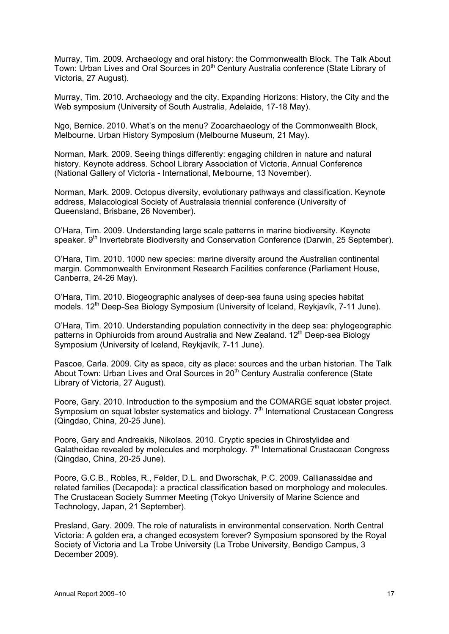Murray, Tim. 2009. Archaeology and oral history: the Commonwealth Block. The Talk About Town: Urban Lives and Oral Sources in 20<sup>th</sup> Century Australia conference (State Library of Victoria, 27 August).

Murray, Tim. 2010. Archaeology and the city. Expanding Horizons: History, the City and the Web symposium (University of South Australia, Adelaide, 17-18 May).

Ngo, Bernice. 2010. What's on the menu? Zooarchaeology of the Commonwealth Block, Melbourne. Urban History Symposium (Melbourne Museum, 21 May).

Norman, Mark. 2009. Seeing things differently: engaging children in nature and natural history. Keynote address. School Library Association of Victoria, Annual Conference (National Gallery of Victoria - International, Melbourne, 13 November).

Norman, Mark. 2009. Octopus diversity, evolutionary pathways and classification. Keynote address, Malacological Society of Australasia triennial conference (University of Queensland, Brisbane, 26 November).

O'Hara, Tim. 2009. Understanding large scale patterns in marine biodiversity. Keynote speaker. 9<sup>th</sup> Invertebrate Biodiversity and Conservation Conference (Darwin, 25 September).

O'Hara, Tim. 2010. 1000 new species: marine diversity around the Australian continental margin. Commonwealth Environment Research Facilities conference (Parliament House, Canberra, 24-26 May).

O'Hara, Tim. 2010. Biogeographic analyses of deep-sea fauna using species habitat models. 12<sup>th</sup> Deep-Sea Biology Symposium (University of Iceland, Reykjavík, 7-11 June).

O'Hara, Tim. 2010. Understanding population connectivity in the deep sea: phylogeographic patterns in Ophiuroids from around Australia and New Zealand. 12<sup>th</sup> Deep-sea Biology Symposium (University of Iceland, Reykjavík, 7-11 June).

Pascoe, Carla. 2009. City as space, city as place: sources and the urban historian. The Talk About Town: Urban Lives and Oral Sources in 20<sup>th</sup> Century Australia conference (State Library of Victoria, 27 August).

Poore, Gary. 2010. Introduction to the symposium and the COMARGE squat lobster project. Symposium on squat lobster systematics and biology. 7<sup>th</sup> International Crustacean Congress (Qingdao, China, 20-25 June).

Poore, Gary and Andreakis, Nikolaos. 2010. Cryptic species in Chirostylidae and Galatheidae revealed by molecules and morphology.  $7<sup>th</sup>$  International Crustacean Congress (Qingdao, China, 20-25 June).

Poore, G.C.B., Robles, R., Felder, D.L. and Dworschak, P.C. 2009. Callianassidae and related families (Decapoda): a practical classification based on morphology and molecules. The Crustacean Society Summer Meeting (Tokyo University of Marine Science and Technology, Japan, 21 September).

Presland, Gary. 2009. The role of naturalists in environmental conservation. North Central Victoria: A golden era, a changed ecosystem forever? Symposium sponsored by the Royal Society of Victoria and La Trobe University (La Trobe University, Bendigo Campus, 3 December 2009).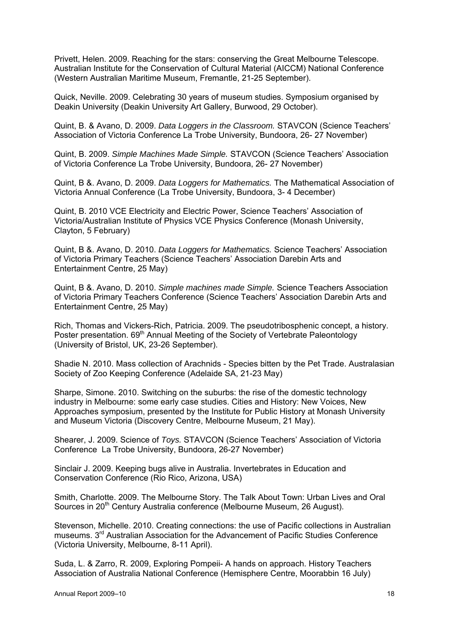Privett, Helen. 2009. Reaching for the stars: conserving the Great Melbourne Telescope. Australian Institute for the Conservation of Cultural Material (AICCM) National Conference (Western Australian Maritime Museum, Fremantle, 21-25 September).

Quick, Neville. 2009. Celebrating 30 years of museum studies. Symposium organised by Deakin University (Deakin University Art Gallery, Burwood, 29 October).

Quint, B. & Avano, D. 2009. *Data Loggers in the Classroom.* STAVCON (Science Teachers' Association of Victoria Conference La Trobe University, Bundoora, 26- 27 November)

Quint, B. 2009. *Simple Machines Made Simple.* STAVCON (Science Teachers' Association of Victoria Conference La Trobe University, Bundoora, 26- 27 November)

Quint, B &. Avano, D. 2009. *Data Loggers for Mathematics.* The Mathematical Association of Victoria Annual Conference (La Trobe University, Bundoora, 3- 4 December)

Quint, B. 2010 VCE Electricity and Electric Power, Science Teachers' Association of Victoria/Australian Institute of Physics VCE Physics Conference (Monash University, Clayton, 5 February)

Quint, B &. Avano, D. 2010. *Data Loggers for Mathematics.* Science Teachers' Association of Victoria Primary Teachers (Science Teachers' Association Darebin Arts and Entertainment Centre, 25 May)

Quint, B &. Avano, D. 2010. *Simple machines made Simple.* Science Teachers Association of Victoria Primary Teachers Conference (Science Teachers' Association Darebin Arts and Entertainment Centre, 25 May)

Rich, Thomas and Vickers-Rich, Patricia. 2009. The pseudotribosphenic concept, a history. Poster presentation. 69<sup>th</sup> Annual Meeting of the Society of Vertebrate Paleontology (University of Bristol, UK, 23-26 September).

Shadie N. 2010. Mass collection of Arachnids - Species bitten by the Pet Trade. Australasian Society of Zoo Keeping Conference (Adelaide SA, 21-23 May)

Sharpe, Simone. 2010. Switching on the suburbs: the rise of the domestic technology industry in Melbourne: some early case studies. Cities and History: New Voices, New Approaches symposium, presented by the Institute for Public History at Monash University and Museum Victoria (Discovery Centre, Melbourne Museum, 21 May).

Shearer, J. 2009. Science of *Toys.* STAVCON (Science Teachers' Association of Victoria Conference La Trobe University, Bundoora, 26-27 November)

Sinclair J. 2009. Keeping bugs alive in Australia. Invertebrates in Education and Conservation Conference (Rio Rico, Arizona, USA)

Smith, Charlotte. 2009. The Melbourne Story. The Talk About Town: Urban Lives and Oral Sources in 20<sup>th</sup> Century Australia conference (Melbourne Museum, 26 August).

Stevenson, Michelle. 2010. Creating connections: the use of Pacific collections in Australian museums. 3rd Australian Association for the Advancement of Pacific Studies Conference (Victoria University, Melbourne, 8-11 April).

Suda, L. & Zarro, R. 2009, Exploring Pompeii- A hands on approach. History Teachers Association of Australia National Conference (Hemisphere Centre, Moorabbin 16 July)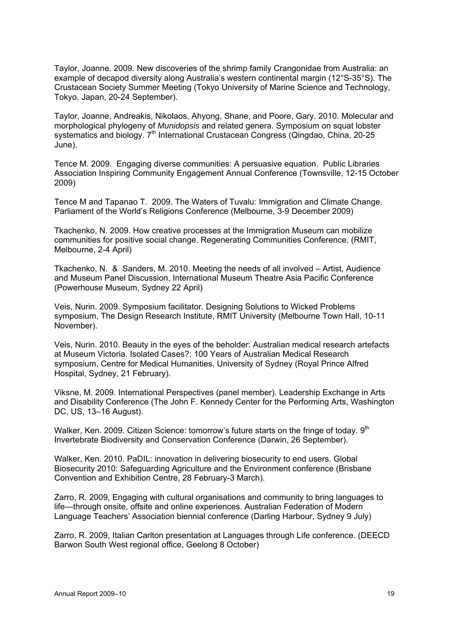Taylor, Joanne. 2009. New discoveries of the shrimp family Crangonidae from Australia: an example of decapod diversity along Australia's western continental margin (12°S-35°S). The Crustacean Society Summer Meeting (Tokyo University of Marine Science and Technology, Tokyo, Japan, 20-24 September).

Taylor, Joanne, Andreakis, Nikolaos, Ahyong, Shane, and Poore, Gary. 2010. Molecular and morphological phylogeny of *Munidopsis* and related genera. Symposium on squat lobster systematics and biology. 7<sup>th</sup> International Crustacean Congress (Qingdao, China, 20-25 June).

Tence M. 2009. Engaging diverse communities: A persuasive equation. Public Libraries Association Inspiring Community Engagement Annual Conference (Townsville, 12-15 October 2009)

Tence M and Tapanao T. 2009. The Waters of Tuvalu: Immigration and Climate Change. Parliament of the World's Religions Conference (Melbourne, 3-9 December 2009)

Tkachenko, N. 2009. How creative processes at the Immigration Museum can mobilize communities for positive social change. Regenerating Communities Conference, (RMIT, Melbourne, 2-4 April)

Tkachenko, N. & Sanders, M. 2010. Meeting the needs of all involved – Artist, Audience and Museum Panel Discussion, International Museum Theatre Asia Pacific Conference (Powerhouse Museum, Sydney 22 April)

Veis, Nurin. 2009. Symposium facilitator. Designing Solutions to Wicked Problems symposium, The Design Research Institute, RMIT University (Melbourne Town Hall, 10-11 November).

Veis, Nurin. 2010. Beauty in the eyes of the beholder: Australian medical research artefacts at Museum Victoria. Isolated Cases?: 100 Years of Australian Medical Research symposium, Centre for Medical Humanities, University of Sydney (Royal Prince Alfred Hospital, Sydney, 21 February).

Viksne, M. 2009. International Perspectives (panel member). Leadership Exchange in Arts and Disability Conference (The John F. Kennedy Center for the Performing Arts, Washington DC, US, 13–16 August).

Walker, Ken. 2009. Citizen Science: tomorrow's future starts on the fringe of today. 9<sup>th</sup> Invertebrate Biodiversity and Conservation Conference (Darwin, 26 September).

Walker, Ken. 2010. PaDIL: innovation in delivering biosecurity to end users. Global Biosecurity 2010: Safeguarding Agriculture and the Environment conference (Brisbane Convention and Exhibition Centre, 28 February-3 March).

Zarro, R. 2009, Engaging with cultural organisations and community to bring languages to life—through onsite, offsite and online experiences. Australian Federation of Modern Language Teachers' Association biennial conference (Darling Harbour, Sydney 9 July)

Zarro, R. 2009, Italian Carlton presentation at Languages through Life conference. (DEECD Barwon South West regional office, Geelong 8 October)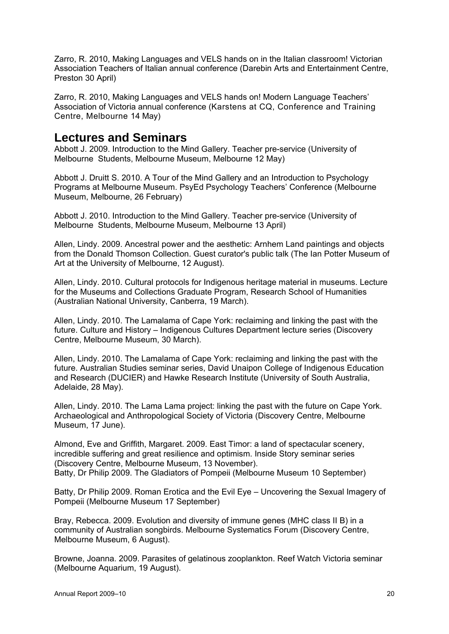Zarro, R. 2010, Making Languages and VELS hands on in the Italian classroom! Victorian Association Teachers of Italian annual conference (Darebin Arts and Entertainment Centre, Preston 30 April)

Zarro, R. 2010, Making Languages and VELS hands on! Modern Language Teachers' Association of Victoria annual conference (Karstens at CQ, Conference and Training Centre, Melbourne 14 May)

### **Lectures and Seminars**

Abbott J. 2009. Introduction to the Mind Gallery. Teacher pre-service (University of Melbourne Students, Melbourne Museum, Melbourne 12 May)

Abbott J. Druitt S. 2010. A Tour of the Mind Gallery and an Introduction to Psychology Programs at Melbourne Museum. PsyEd Psychology Teachers' Conference (Melbourne Museum, Melbourne, 26 February)

Abbott J. 2010. Introduction to the Mind Gallery. Teacher pre-service (University of Melbourne Students, Melbourne Museum, Melbourne 13 April)

Allen, Lindy. 2009. Ancestral power and the aesthetic: Arnhem Land paintings and objects from the Donald Thomson Collection. Guest curator's public talk (The Ian Potter Museum of Art at the University of Melbourne, 12 August).

Allen, Lindy. 2010. Cultural protocols for Indigenous heritage material in museums. Lecture for the Museums and Collections Graduate Program, Research School of Humanities (Australian National University, Canberra, 19 March).

Allen, Lindy. 2010. The Lamalama of Cape York: reclaiming and linking the past with the future. Culture and History – Indigenous Cultures Department lecture series (Discovery Centre, Melbourne Museum, 30 March).

Allen, Lindy. 2010. The Lamalama of Cape York: reclaiming and linking the past with the future. Australian Studies seminar series, David Unaipon College of Indigenous Education and Research (DUCIER) and Hawke Research Institute (University of South Australia, Adelaide, 28 May).

Allen, Lindy. 2010. The Lama Lama project: linking the past with the future on Cape York. Archaeological and Anthropological Society of Victoria (Discovery Centre, Melbourne Museum, 17 June).

Almond, Eve and Griffith, Margaret. 2009. East Timor: a land of spectacular scenery, incredible suffering and great resilience and optimism. Inside Story seminar series (Discovery Centre, Melbourne Museum, 13 November). Batty, Dr Philip 2009. The Gladiators of Pompeii (Melbourne Museum 10 September)

Batty, Dr Philip 2009. Roman Erotica and the Evil Eye – Uncovering the Sexual Imagery of Pompeii (Melbourne Museum 17 September)

Bray, Rebecca. 2009. Evolution and diversity of immune genes (MHC class II B) in a community of Australian songbirds. Melbourne Systematics Forum (Discovery Centre, Melbourne Museum, 6 August).

Browne, Joanna. 2009. Parasites of gelatinous zooplankton. Reef Watch Victoria seminar (Melbourne Aquarium, 19 August).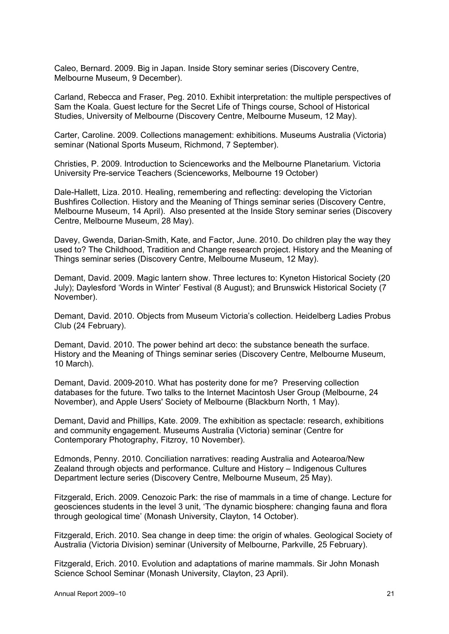Caleo, Bernard. 2009. Big in Japan. Inside Story seminar series (Discovery Centre, Melbourne Museum, 9 December).

Carland, Rebecca and Fraser, Peg. 2010. Exhibit interpretation: the multiple perspectives of Sam the Koala. Guest lecture for the Secret Life of Things course, School of Historical Studies, University of Melbourne (Discovery Centre, Melbourne Museum, 12 May).

Carter, Caroline. 2009. Collections management: exhibitions. Museums Australia (Victoria) seminar (National Sports Museum, Richmond, 7 September).

Christies, P. 2009. Introduction to Scienceworks and the Melbourne Planetarium*.* Victoria University Pre-service Teachers (Scienceworks, Melbourne 19 October)

Dale-Hallett, Liza. 2010. Healing, remembering and reflecting: developing the Victorian Bushfires Collection. History and the Meaning of Things seminar series (Discovery Centre, Melbourne Museum, 14 April). Also presented at the Inside Story seminar series (Discovery Centre, Melbourne Museum, 28 May).

Davey, Gwenda, Darian-Smith, Kate, and Factor, June. 2010. Do children play the way they used to? The Childhood, Tradition and Change research project. History and the Meaning of Things seminar series (Discovery Centre, Melbourne Museum, 12 May).

Demant, David. 2009. Magic lantern show. Three lectures to: Kyneton Historical Society (20 July); Daylesford 'Words in Winter' Festival (8 August); and Brunswick Historical Society (7 November).

Demant, David. 2010. Objects from Museum Victoria's collection. Heidelberg Ladies Probus Club (24 February).

Demant, David. 2010. The power behind art deco: the substance beneath the surface. History and the Meaning of Things seminar series (Discovery Centre, Melbourne Museum, 10 March).

Demant, David. 2009-2010. What has posterity done for me? Preserving collection databases for the future. Two talks to the Internet Macintosh User Group (Melbourne, 24 November), and Apple Users' Society of Melbourne (Blackburn North, 1 May).

Demant, David and Phillips, Kate. 2009. The exhibition as spectacle: research, exhibitions and community engagement. Museums Australia (Victoria) seminar (Centre for Contemporary Photography, Fitzroy, 10 November).

Edmonds, Penny. 2010. Conciliation narratives: reading Australia and Aotearoa/New Zealand through objects and performance. Culture and History – Indigenous Cultures Department lecture series (Discovery Centre, Melbourne Museum, 25 May).

Fitzgerald, Erich. 2009. Cenozoic Park: the rise of mammals in a time of change. Lecture for geosciences students in the level 3 unit, 'The dynamic biosphere: changing fauna and flora through geological time' (Monash University, Clayton, 14 October).

Fitzgerald, Erich. 2010. Sea change in deep time: the origin of whales. Geological Society of Australia (Victoria Division) seminar (University of Melbourne, Parkville, 25 February).

Fitzgerald, Erich. 2010. Evolution and adaptations of marine mammals. Sir John Monash Science School Seminar (Monash University, Clayton, 23 April).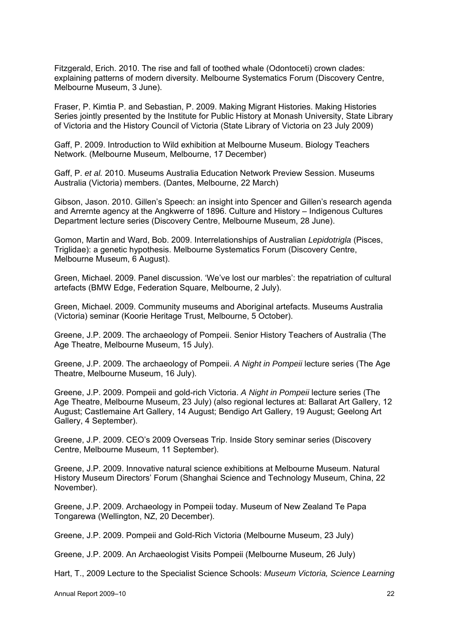Fitzgerald, Erich. 2010. The rise and fall of toothed whale (Odontoceti) crown clades: explaining patterns of modern diversity. Melbourne Systematics Forum (Discovery Centre, Melbourne Museum, 3 June).

Fraser, P. Kimtia P. and Sebastian, P. 2009. Making Migrant Histories. Making Histories Series jointly presented by the Institute for Public History at Monash University, State Library of Victoria and the History Council of Victoria (State Library of Victoria on 23 July 2009)

Gaff, P. 2009. Introduction to Wild exhibition at Melbourne Museum. Biology Teachers Network. (Melbourne Museum, Melbourne, 17 December)

Gaff, P. *et al.* 2010. Museums Australia Education Network Preview Session. Museums Australia (Victoria) members. (Dantes, Melbourne, 22 March)

Gibson, Jason. 2010. Gillen's Speech: an insight into Spencer and Gillen's research agenda and Arrernte agency at the Angkwerre of 1896. Culture and History – Indigenous Cultures Department lecture series (Discovery Centre, Melbourne Museum, 28 June).

Gomon, Martin and Ward, Bob. 2009. Interrelationships of Australian *Lepidotrigla* (Pisces, Triglidae): a genetic hypothesis. Melbourne Systematics Forum (Discovery Centre, Melbourne Museum, 6 August).

Green, Michael. 2009. Panel discussion. 'We've lost our marbles': the repatriation of cultural artefacts (BMW Edge, Federation Square, Melbourne, 2 July).

Green, Michael. 2009. Community museums and Aboriginal artefacts. Museums Australia (Victoria) seminar (Koorie Heritage Trust, Melbourne, 5 October).

Greene, J.P. 2009. The archaeology of Pompeii. Senior History Teachers of Australia (The Age Theatre, Melbourne Museum, 15 July).

Greene, J.P. 2009. The archaeology of Pompeii. *A Night in Pompeii* lecture series (The Age Theatre, Melbourne Museum, 16 July).

Greene, J.P. 2009. Pompeii and gold-rich Victoria. *A Night in Pompeii* lecture series (The Age Theatre, Melbourne Museum, 23 July) (also regional lectures at: Ballarat Art Gallery, 12 August; Castlemaine Art Gallery, 14 August; Bendigo Art Gallery, 19 August; Geelong Art Gallery, 4 September).

Greene, J.P. 2009. CEO's 2009 Overseas Trip. Inside Story seminar series (Discovery Centre, Melbourne Museum, 11 September).

Greene, J.P. 2009. Innovative natural science exhibitions at Melbourne Museum. Natural History Museum Directors' Forum (Shanghai Science and Technology Museum, China, 22 November).

Greene, J.P. 2009. Archaeology in Pompeii today. Museum of New Zealand Te Papa Tongarewa (Wellington, NZ, 20 December).

Greene, J.P. 2009. Pompeii and Gold-Rich Victoria (Melbourne Museum, 23 July)

Greene, J.P. 2009. An Archaeologist Visits Pompeii (Melbourne Museum, 26 July)

Hart, T., 2009 Lecture to the Specialist Science Schools: *Museum Victoria, Science Learning*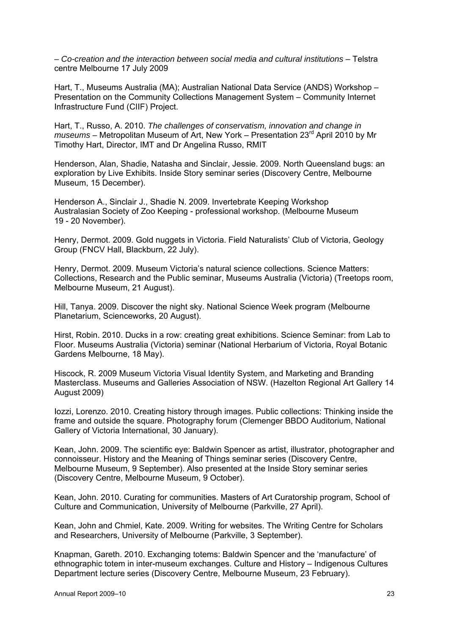*– Co-creation and the interaction between social media and cultural institutions* – Telstra centre Melbourne 17 July 2009

Hart, T., Museums Australia (MA); Australian National Data Service (ANDS) Workshop – Presentation on the Community Collections Management System – Community Internet Infrastructure Fund (CIIF) Project.

Hart, T., Russo, A. 2010. *The challenges of conservatism, innovation and change in museums –* Metropolitan Museum of Art, New York – Presentation 23rd April 2010 by Mr Timothy Hart, Director, IMT and Dr Angelina Russo, RMIT

Henderson, Alan, Shadie, Natasha and Sinclair, Jessie. 2009. North Queensland bugs: an exploration by Live Exhibits. Inside Story seminar series (Discovery Centre, Melbourne Museum, 15 December).

Henderson A., Sinclair J., Shadie N. 2009. Invertebrate Keeping Workshop Australasian Society of Zoo Keeping - professional workshop. (Melbourne Museum 19 - 20 November).

Henry, Dermot. 2009. Gold nuggets in Victoria. Field Naturalists' Club of Victoria, Geology Group (FNCV Hall, Blackburn, 22 July).

Henry, Dermot. 2009. Museum Victoria's natural science collections. Science Matters: Collections, Research and the Public seminar, Museums Australia (Victoria) (Treetops room, Melbourne Museum, 21 August).

Hill, Tanya. 2009. Discover the night sky. National Science Week program (Melbourne Planetarium, Scienceworks, 20 August).

Hirst, Robin. 2010. Ducks in a row: creating great exhibitions. Science Seminar: from Lab to Floor. Museums Australia (Victoria) seminar (National Herbarium of Victoria, Royal Botanic Gardens Melbourne, 18 May).

Hiscock, R. 2009 Museum Victoria Visual Identity System, and Marketing and Branding Masterclass. Museums and Galleries Association of NSW. (Hazelton Regional Art Gallery 14 August 2009)

Iozzi, Lorenzo. 2010. Creating history through images. Public collections: Thinking inside the frame and outside the square. Photography forum (Clemenger BBDO Auditorium, National Gallery of Victoria International, 30 January).

Kean, John. 2009. The scientific eye: Baldwin Spencer as artist, illustrator, photographer and connoisseur. History and the Meaning of Things seminar series (Discovery Centre, Melbourne Museum, 9 September). Also presented at the Inside Story seminar series (Discovery Centre, Melbourne Museum, 9 October).

Kean, John. 2010. Curating for communities. Masters of Art Curatorship program, School of Culture and Communication, University of Melbourne (Parkville, 27 April).

Kean, John and Chmiel, Kate. 2009. Writing for websites. The Writing Centre for Scholars and Researchers, University of Melbourne (Parkville, 3 September).

Knapman, Gareth. 2010. Exchanging totems: Baldwin Spencer and the 'manufacture' of ethnographic totem in inter-museum exchanges. Culture and History – Indigenous Cultures Department lecture series (Discovery Centre, Melbourne Museum, 23 February).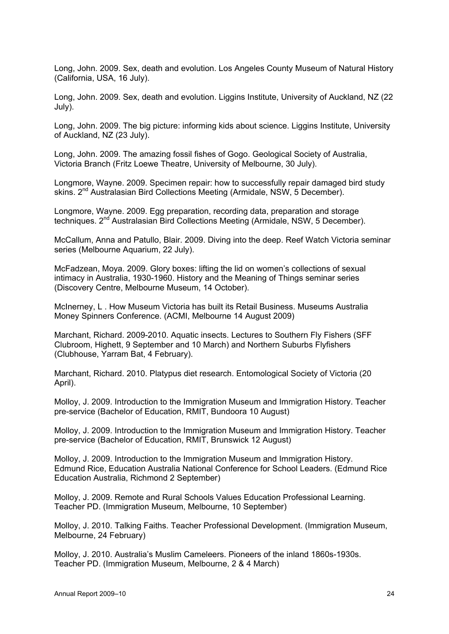Long, John. 2009. Sex, death and evolution. Los Angeles County Museum of Natural History (California, USA, 16 July).

Long, John. 2009. Sex, death and evolution. Liggins Institute, University of Auckland, NZ (22 July).

Long, John. 2009. The big picture: informing kids about science. Liggins Institute, University of Auckland, NZ (23 July).

Long, John. 2009. The amazing fossil fishes of Gogo. Geological Society of Australia, Victoria Branch (Fritz Loewe Theatre, University of Melbourne, 30 July).

Longmore, Wayne. 2009. Specimen repair: how to successfully repair damaged bird study skins.  $2^{nd}$  Australasian Bird Collections Meeting (Armidale, NSW, 5 December).

Longmore, Wayne. 2009. Egg preparation, recording data, preparation and storage techniques. 2<sup>nd</sup> Australasian Bird Collections Meeting (Armidale, NSW, 5 December).

McCallum, Anna and Patullo, Blair. 2009. Diving into the deep. Reef Watch Victoria seminar series (Melbourne Aquarium, 22 July).

McFadzean, Moya. 2009. Glory boxes: lifting the lid on women's collections of sexual intimacy in Australia, 1930-1960. History and the Meaning of Things seminar series (Discovery Centre, Melbourne Museum, 14 October).

McInerney, L . How Museum Victoria has built its Retail Business. Museums Australia Money Spinners Conference. (ACMI, Melbourne 14 August 2009)

Marchant, Richard. 2009-2010. Aquatic insects. Lectures to Southern Fly Fishers (SFF Clubroom, Highett, 9 September and 10 March) and Northern Suburbs Flyfishers (Clubhouse, Yarram Bat, 4 February).

Marchant, Richard. 2010. Platypus diet research. Entomological Society of Victoria (20 April).

Molloy, J. 2009. Introduction to the Immigration Museum and Immigration History. Teacher pre-service (Bachelor of Education, RMIT, Bundoora 10 August)

Molloy, J. 2009. Introduction to the Immigration Museum and Immigration History. Teacher pre-service (Bachelor of Education, RMIT, Brunswick 12 August)

Molloy, J. 2009. Introduction to the Immigration Museum and Immigration History. Edmund Rice, Education Australia National Conference for School Leaders. (Edmund Rice Education Australia, Richmond 2 September)

Molloy, J. 2009. Remote and Rural Schools Values Education Professional Learning. Teacher PD. (Immigration Museum, Melbourne, 10 September)

Molloy, J. 2010. Talking Faiths. Teacher Professional Development. (Immigration Museum, Melbourne, 24 February)

Molloy, J. 2010. Australia's Muslim Cameleers. Pioneers of the inland 1860s-1930s. Teacher PD. (Immigration Museum, Melbourne, 2 & 4 March)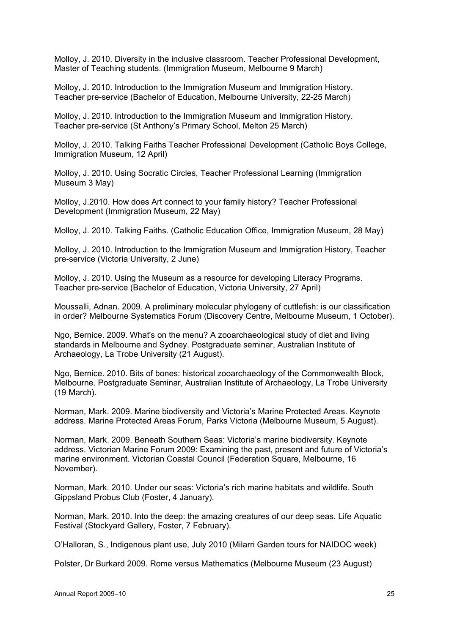Molloy, J. 2010. Diversity in the inclusive classroom. Teacher Professional Development, Master of Teaching students. (Immigration Museum, Melbourne 9 March)

Molloy, J. 2010. Introduction to the Immigration Museum and Immigration History. Teacher pre-service (Bachelor of Education, Melbourne University, 22-25 March)

Molloy, J. 2010. Introduction to the Immigration Museum and Immigration History. Teacher pre-service (St Anthony's Primary School, Melton 25 March)

Molloy, J. 2010. Talking Faiths Teacher Professional Development (Catholic Boys College, Immigration Museum, 12 April)

Molloy, J. 2010. Using Socratic Circles, Teacher Professional Learning (Immigration Museum 3 May)

Molloy, J.2010. How does Art connect to your family history? Teacher Professional Development (Immigration Museum, 22 May)

Molloy, J. 2010. Talking Faiths. (Catholic Education Office, Immigration Museum, 28 May)

Molloy, J. 2010. Introduction to the Immigration Museum and Immigration History, Teacher pre-service (Victoria University, 2 June)

Molloy, J. 2010. Using the Museum as a resource for developing Literacy Programs. Teacher pre-service (Bachelor of Education, Victoria University, 27 April)

Moussalli, Adnan. 2009. A preliminary molecular phylogeny of cuttlefish: is our classification in order? Melbourne Systematics Forum (Discovery Centre, Melbourne Museum, 1 October).

Ngo, Bernice. 2009. What's on the menu? A zooarchaeological study of diet and living standards in Melbourne and Sydney. Postgraduate seminar, Australian Institute of Archaeology, La Trobe University (21 August).

Ngo, Bernice. 2010. Bits of bones: historical zooarchaeology of the Commonwealth Block, Melbourne. Postgraduate Seminar, Australian Institute of Archaeology, La Trobe University (19 March).

Norman, Mark. 2009. Marine biodiversity and Victoria's Marine Protected Areas. Keynote address. Marine Protected Areas Forum, Parks Victoria (Melbourne Museum, 5 August).

Norman, Mark. 2009. Beneath Southern Seas: Victoria's marine biodiversity. Keynote address. Victorian Marine Forum 2009: Examining the past, present and future of Victoria's marine environment. Victorian Coastal Council (Federation Square, Melbourne, 16 November).

Norman, Mark. 2010. Under our seas: Victoria's rich marine habitats and wildlife. South Gippsland Probus Club (Foster, 4 January).

Norman, Mark. 2010. Into the deep: the amazing creatures of our deep seas. Life Aquatic Festival (Stockyard Gallery, Foster, 7 February).

O'Halloran, S., Indigenous plant use, July 2010 (Milarri Garden tours for NAIDOC week)

Polster, Dr Burkard 2009. Rome versus Mathematics (Melbourne Museum (23 August)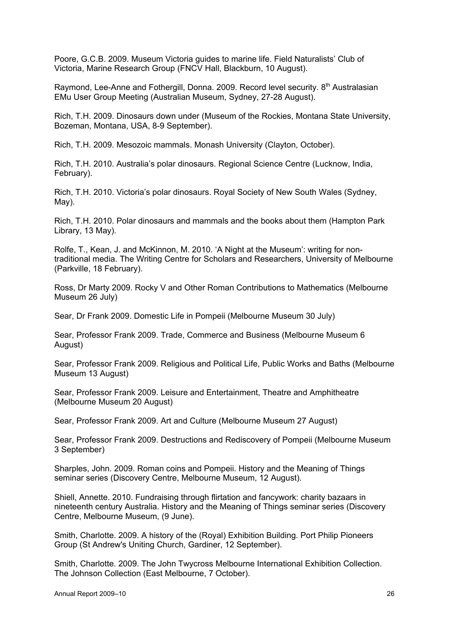Poore, G.C.B. 2009. Museum Victoria guides to marine life. Field Naturalists' Club of Victoria, Marine Research Group (FNCV Hall, Blackburn, 10 August).

Raymond, Lee-Anne and Fothergill, Donna. 2009. Record level security. 8<sup>th</sup> Australasian EMu User Group Meeting (Australian Museum, Sydney, 27-28 August).

Rich, T.H. 2009. Dinosaurs down under (Museum of the Rockies, Montana State University, Bozeman, Montana, USA, 8-9 September).

Rich, T.H. 2009. Mesozoic mammals. Monash University (Clayton, October).

Rich, T.H. 2010. Australia's polar dinosaurs. Regional Science Centre (Lucknow, India, February).

Rich, T.H. 2010. Victoria's polar dinosaurs. Royal Society of New South Wales (Sydney, May).

Rich, T.H. 2010. Polar dinosaurs and mammals and the books about them (Hampton Park Library, 13 May).

Rolfe, T., Kean, J. and McKinnon, M. 2010. 'A Night at the Museum': writing for nontraditional media. The Writing Centre for Scholars and Researchers, University of Melbourne (Parkville, 18 February).

Ross, Dr Marty 2009. Rocky V and Other Roman Contributions to Mathematics (Melbourne Museum 26 July)

Sear, Dr Frank 2009. Domestic Life in Pompeii (Melbourne Museum 30 July)

Sear, Professor Frank 2009. Trade, Commerce and Business (Melbourne Museum 6 August)

Sear, Professor Frank 2009. Religious and Political Life, Public Works and Baths (Melbourne Museum 13 August)

Sear, Professor Frank 2009. Leisure and Entertainment, Theatre and Amphitheatre (Melbourne Museum 20 August)

Sear, Professor Frank 2009. Art and Culture (Melbourne Museum 27 August)

Sear, Professor Frank 2009. Destructions and Rediscovery of Pompeii (Melbourne Museum 3 September)

Sharples, John. 2009. Roman coins and Pompeii. History and the Meaning of Things seminar series (Discovery Centre, Melbourne Museum, 12 August).

Shiell, Annette. 2010. Fundraising through flirtation and fancywork: charity bazaars in nineteenth century Australia. History and the Meaning of Things seminar series (Discovery Centre, Melbourne Museum, (9 June).

Smith, Charlotte. 2009. A history of the (Royal) Exhibition Building. Port Philip Pioneers Group (St Andrew's Uniting Church, Gardiner, 12 September).

Smith, Charlotte. 2009. The John Twycross Melbourne International Exhibition Collection. The Johnson Collection (East Melbourne, 7 October).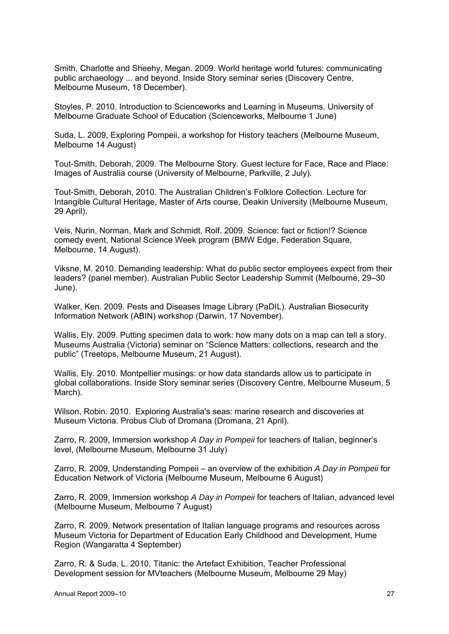Smith, Charlotte and Sheehy, Megan. 2009. World heritage world futures: communicating public archaeology ... and beyond. Inside Story seminar series (Discovery Centre, Melbourne Museum, 18 December).

Stoyles, P. 2010. Introduction to Scienceworks and Learning in Museums. University of Melbourne Graduate School of Education (Scienceworks, Melbourne 1 June)

Suda, L. 2009, Exploring Pompeii, a workshop for History teachers (Melbourne Museum, Melbourne 14 August)

Tout-Smith, Deborah, 2009. The Melbourne Story. Guest lecture for Face, Race and Place: Images of Australia course (University of Melbourne, Parkville, 2 July).

Tout-Smith, Deborah, 2010. The Australian Children's Folklore Collection. Lecture for Intangible Cultural Heritage, Master of Arts course, Deakin University (Melbourne Museum, 29 April).

Veis, Nurin, Norman, Mark and Schmidt, Rolf. 2009. Science: fact or fiction!? Science comedy event, National Science Week program (BMW Edge, Federation Square, Melbourne, 14 August).

Viksne, M. 2010. Demanding leadership: What do public sector employees expect from their leaders? (panel member). Australian Public Sector Leadership Summit (Melbourne, 29–30 June).

Walker, Ken. 2009. Pests and Diseases Image Library (PaDIL). Australian Biosecurity Information Network (ABIN) workshop (Darwin, 17 November).

Wallis, Ely. 2009. Putting specimen data to work: how many dots on a map can tell a story. Museums Australia (Victoria) seminar on "Science Matters: collections, research and the public" (Treetops, Melbourne Museum, 21 August).

Wallis, Ely. 2010. Montpellier musings: or how data standards allow us to participate in global collaborations. Inside Story seminar series (Discovery Centre, Melbourne Museum, 5 March).

Wilson, Robin. 2010. Exploring Australia's seas: marine research and discoveries at Museum Victoria. Probus Club of Dromana (Dromana, 21 April).

Zarro, R. 2009, Immersion workshop *A Day in Pompeii* for teachers of Italian, beginner's level, (Melbourne Museum, Melbourne 31 July)

Zarro, R. 2009, Understanding Pompeii – an overview of the exhibition *A Day in Pompeii* for Education Network of Victoria (Melbourne Museum, Melbourne 6 August)

Zarro, R. 2009, Immersion workshop *A Day in Pompeii* for teachers of Italian, advanced level (Melbourne Museum, Melbourne 7 August)

Zarro, R. 2009, Network presentation of Italian language programs and resources across Museum Victoria for Department of Education Early Childhood and Development, Hume Region (Wangaratta 4 September)

Zarro, R. & Suda, L. 2010, Titanic: the Artefact Exhibition, Teacher Professional Development session for MVteachers (Melbourne Museum, Melbourne 29 May)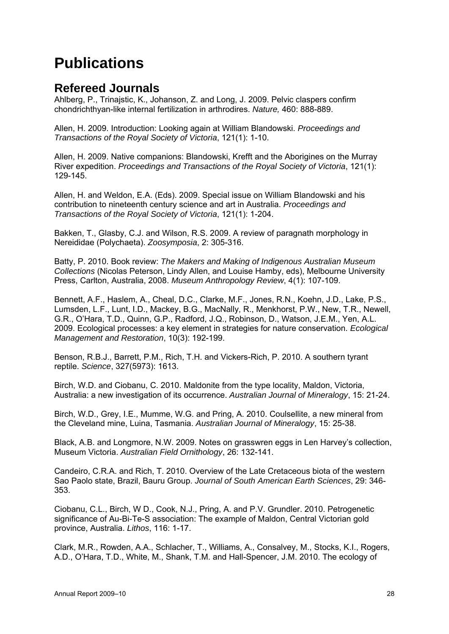## **Publications**

## **Refereed Journals**

Ahlberg, P., Trinajstic, K., Johanson, Z. and Long, J. 2009. Pelvic claspers confirm chondrichthyan-like internal fertilization in arthrodires. *Nature,* 460: 888-889.

Allen, H. 2009. Introduction: Looking again at William Blandowski. *Proceedings and Transactions of the Royal Society of Victoria*, 121(1): 1-10.

Allen, H. 2009. Native companions: Blandowski, Krefft and the Aborigines on the Murray River expedition. *Proceedings and Transactions of the Royal Society of Victoria*, 121(1): 129-145.

Allen, H. and Weldon, E.A. (Eds). 2009. Special issue on William Blandowski and his contribution to nineteenth century science and art in Australia. *Proceedings and Transactions of the Royal Society of Victoria*, 121(1): 1-204.

Bakken, T., Glasby, C.J. and Wilson, R.S. 2009. A review of paragnath morphology in Nereididae (Polychaeta). *Zoosymposia*, 2: 305-316.

Batty, P. 2010. Book review: *The Makers and Making of Indigenous Australian Museum Collections* (Nicolas Peterson, Lindy Allen, and Louise Hamby, eds), Melbourne University Press, Carlton, Australia, 2008. *Museum Anthropology Review*, 4(1): 107-109.

Bennett, A.F., Haslem, A., Cheal, D.C., Clarke, M.F., Jones, R.N., Koehn, J.D., Lake, P.S., Lumsden, L.F., Lunt, I.D., Mackey, B.G., MacNally, R., Menkhorst, P.W., New, T.R., Newell, G.R., O'Hara, T.D., Quinn, G.P., Radford, J.Q., Robinson, D., Watson, J.E.M., Yen, A.L. 2009. Ecological processes: a key element in strategies for nature conservation. *Ecological Management and Restoration*, 10(3): 192-199.

Benson, R.B.J., Barrett, P.M., Rich, T.H. and Vickers-Rich, P. 2010. A southern tyrant reptile. *Science*, 327(5973): 1613.

Birch, W.D. and Ciobanu, C. 2010. Maldonite from the type locality, Maldon, Victoria, Australia: a new investigation of its occurrence. *Australian Journal of Mineralogy*, 15: 21-24.

Birch, W.D., Grey, I.E., Mumme, W.G. and Pring, A. 2010. Coulsellite, a new mineral from the Cleveland mine, Luina, Tasmania. *Australian Journal of Mineralogy*, 15: 25-38.

Black, A.B. and Longmore, N.W. 2009. Notes on grasswren eggs in Len Harvey's collection, Museum Victoria. *Australian Field Ornithology*, 26: 132-141.

Candeiro, C.R.A. and Rich, T. 2010. Overview of the Late Cretaceous biota of the western Sao Paolo state, Brazil, Bauru Group. *Journal of South American Earth Sciences*, 29: 346- 353.

Ciobanu, C.L., Birch, W D., Cook, N.J., Pring, A. and P.V. Grundler. 2010. Petrogenetic significance of Au-Bi-Te-S association: The example of Maldon, Central Victorian gold province, Australia. *Lithos*, 116: 1-17.

Clark, M.R., Rowden, A.A., Schlacher, T., Williams, A., Consalvey, M., Stocks, K.I., Rogers, A.D., O'Hara, T.D., White, M., Shank, T.M. and Hall-Spencer, J.M. 2010. The ecology of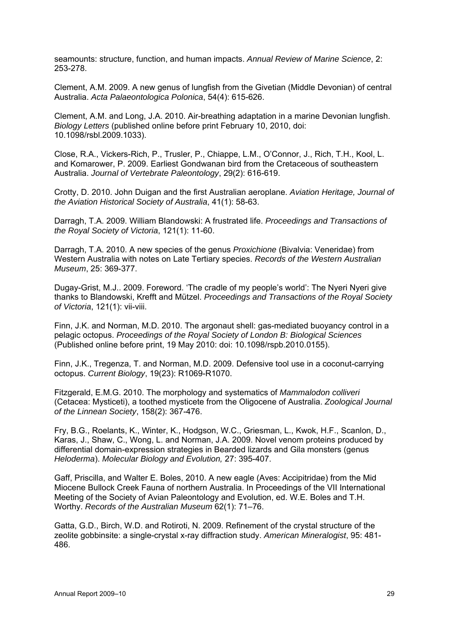seamounts: structure, function, and human impacts. *Annual Review of Marine Science*, 2: 253-278.

Clement, A.M. 2009. A new genus of lungfish from the Givetian (Middle Devonian) of central Australia. *Acta Palaeontologica Polonica*, 54(4): 615-626.

Clement, A.M. and Long, J.A. 2010. Air-breathing adaptation in a marine Devonian lungfish. *Biology Letters* (published online before print February 10, 2010, doi: 10.1098/rsbl.2009.1033).

Close, R.A., Vickers-Rich, P., Trusler, P., Chiappe, L.M., O'Connor, J., Rich, T.H., Kool, L. and Komarower, P. 2009. Earliest Gondwanan bird from the Cretaceous of southeastern Australia. *Journal of Vertebrate Paleontology*, 29(2): 616-619.

Crotty, D. 2010. John Duigan and the first Australian aeroplane. *Aviation Heritage, Journal of the Aviation Historical Society of Australia*, 41(1): 58-63.

Darragh, T.A. 2009. William Blandowski: A frustrated life. *Proceedings and Transactions of the Royal Society of Victoria*, 121(1): 11-60.

Darragh, T.A. 2010. A new species of the genus *Proxichione* (Bivalvia: Veneridae) from Western Australia with notes on Late Tertiary species. *Records of the Western Australian Museum*, 25: 369-377.

Dugay-Grist, M.J.. 2009. Foreword. 'The cradle of my people's world': The Nyeri Nyeri give thanks to Blandowski, Krefft and Mützel. *Proceedings and Transactions of the Royal Society of Victoria*, 121(1): vii-viii.

Finn, J.K. and Norman, M.D. 2010. The argonaut shell: gas-mediated buoyancy control in a pelagic octopus. *Proceedings of the Royal Society of London B: Biological Sciences* (Published online before print, 19 May 2010: doi: 10.1098/rspb.2010.0155).

Finn, J.K., Tregenza, T. and Norman, M.D. 2009. Defensive tool use in a coconut-carrying octopus. *Current Biology*, 19(23): R1069-R1070.

Fitzgerald, E.M.G. 2010. The morphology and systematics of *Mammalodon colliveri* (Cetacea: Mysticeti), a toothed mysticete from the Oligocene of Australia. *Zoological Journal of the Linnean Society*, 158(2): 367-476.

Fry, B.G., Roelants, K., Winter, K., Hodgson, W.C., Griesman, L., Kwok, H.F., Scanlon, D., Karas, J., Shaw, C., Wong, L. and Norman, J.A. 2009. Novel venom proteins produced by differential domain-expression strategies in Bearded lizards and Gila monsters (genus *Heloderma*). *Molecular Biology and Evolution,* 27: 395-407.

Gaff, Priscilla, and Walter E. Boles, 2010. A new eagle (Aves: Accipitridae) from the Mid Miocene Bullock Creek Fauna of northern Australia. In Proceedings of the VII International Meeting of the Society of Avian Paleontology and Evolution, ed. W.E. Boles and T.H. Worthy. *Records of the Australian Museum* 62(1): 71–76.

Gatta, G.D., Birch, W.D. and Rotiroti, N. 2009. Refinement of the crystal structure of the zeolite gobbinsite: a single-crystal x-ray diffraction study. *American Mineralogist*, 95: 481- 486.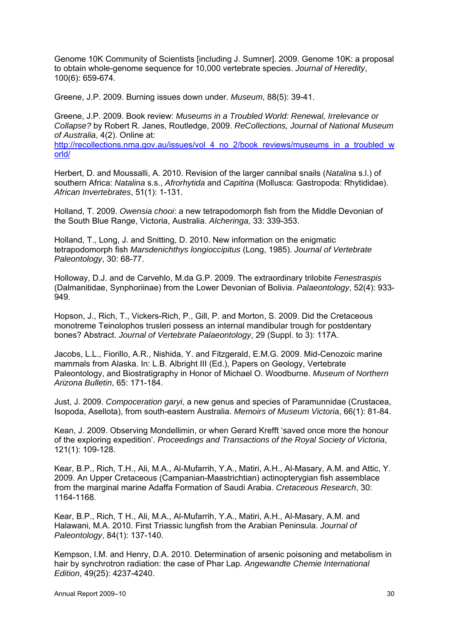Genome 10K Community of Scientists [including J. Sumner]. 2009. Genome 10K: a proposal to obtain whole-genome sequence for 10,000 vertebrate species. *Journal of Heredity*, 100(6): 659-674.

Greene, J.P. 2009. Burning issues down under. *Museum*, 88(5): 39-41.

Greene, J.P. 2009. Book review: *Museums in a Troubled World: Renewal, Irrelevance or Collapse?* by Robert R. Janes, Routledge, 2009. *ReCollections, Journal of National Museum of Australia*, 4(2). Online at: http://recollections.nma.gov.au/issues/vol\_4\_no\_2/book\_reviews/museums\_in\_a\_troubled\_w orld/

Herbert, D. and Moussalli, A. 2010. Revision of the larger cannibal snails (*Natalina* s.l.) of southern Africa: *Natalina* s.s., *Afrorhytida* and *Capitina* (Mollusca: Gastropoda: Rhytididae). *African Invertebrates*, 51(1): 1-131.

Holland, T. 2009. *Owensia chooi*: a new tetrapodomorph fish from the Middle Devonian of the South Blue Range, Victoria, Australia. *Alcheringa*, 33: 339-353.

Holland, T., Long, J. and Snitting, D. 2010. New information on the enigmatic tetrapodomorph fish *Marsdenichthys longioccipitus* (Long, 1985). *Journal of Vertebrate Paleontology*, 30: 68-77.

Holloway, D.J. and de Carvehlo, M.da G.P. 2009. The extraordinary trilobite *Fenestraspis* (Dalmanitidae, Synphoriinae) from the Lower Devonian of Bolivia. *Palaeontology*, 52(4): 933- 949.

Hopson, J., Rich, T., Vickers-Rich, P., Gill, P. and Morton, S. 2009. Did the Cretaceous monotreme Teinolophos trusleri possess an internal mandibular trough for postdentary bones? Abstract. *Journal of Vertebrate Palaeontology*, 29 (Suppl. to 3): 117A.

Jacobs, L.L., Fiorillo, A.R., Nishida, Y. and Fitzgerald, E.M.G. 2009. Mid-Cenozoic marine mammals from Alaska. In: L.B. Albright III (Ed.), Papers on Geology, Vertebrate Paleontology, and Biostratigraphy in Honor of Michael O. Woodburne. *Museum of Northern Arizona Bulletin*, 65: 171-184.

Just, J. 2009. *Compoceration garyi*, a new genus and species of Paramunnidae (Crustacea, Isopoda, Asellota), from south-eastern Australia. *Memoirs of Museum Victoria*, 66(1): 81-84.

Kean, J. 2009. Observing Mondellimin, or when Gerard Krefft 'saved once more the honour of the exploring expedition'. *Proceedings and Transactions of the Royal Society of Victoria*, 121(1): 109-128.

Kear, B.P., Rich, T.H., Ali, M.A., Al-Mufarrih, Y.A., Matiri, A.H., Al-Masary, A.M. and Attic, Y. 2009. An Upper Cretaceous (Campanian-Maastrichtian) actinopterygian fish assemblace from the marginal marine Adaffa Formation of Saudi Arabia. *Cretaceous Research*, 30: 1164-1168.

Kear, B.P., Rich, T H., Ali, M.A., Al-Mufarrih, Y.A., Matiri, A.H., Al-Masary, A.M. and Halawani, M.A. 2010. First Triassic lungfish from the Arabian Peninsula. *Journal of Paleontology*, 84(1): 137-140.

Kempson, I.M. and Henry, D.A. 2010. Determination of arsenic poisoning and metabolism in hair by synchrotron radiation: the case of Phar Lap. *Angewandte Chemie International Edition*, 49(25): 4237-4240.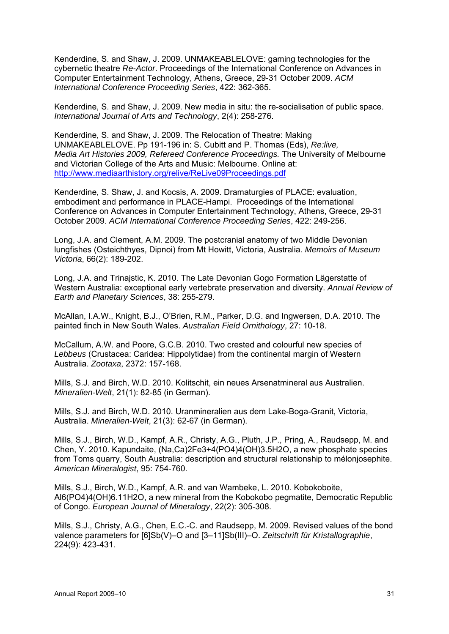Kenderdine, S. and Shaw, J. 2009. UNMAKEABLELOVE: gaming technologies for the cybernetic theatre *Re-Actor*. Proceedings of the International Conference on Advances in Computer Entertainment Technology, Athens, Greece, 29-31 October 2009. *ACM International Conference Proceeding Series*, 422: 362-365.

Kenderdine, S. and Shaw, J. 2009. New media in situ: the re-socialisation of public space. *International Journal of Arts and Technology*, 2(4): 258-276.

Kenderdine, S. and Shaw, J. 2009. The Relocation of Theatre: Making UNMAKEABLELOVE. Pp 191-196 in: S. Cubitt and P. Thomas (Eds), *Re:live, Media Art Histories 2009, Refereed Conference Proceedings.* The University of Melbourne and Victorian College of the Arts and Music: Melbourne. Online at: http://www.mediaarthistory.org/relive/ReLive09Proceedings.pdf

Kenderdine, S. Shaw, J. and Kocsis, A. 2009. Dramaturgies of PLACE: evaluation, embodiment and performance in PLACE-Hampi. Proceedings of the International Conference on Advances in Computer Entertainment Technology, Athens, Greece, 29-31 October 2009. *ACM International Conference Proceeding Series*, 422: 249-256.

Long, J.A. and Clement, A.M. 2009. The postcranial anatomy of two Middle Devonian lungfishes (Osteichthyes, Dipnoi) from Mt Howitt, Victoria, Australia. *Memoirs of Museum Victoria*, 66(2): 189-202.

Long, J.A. and Trinajstic, K. 2010. The Late Devonian Gogo Formation Lägerstatte of Western Australia: exceptional early vertebrate preservation and diversity. *Annual Review of Earth and Planetary Sciences*, 38: 255-279.

McAllan, I.A.W., Knight, B.J., O'Brien, R.M., Parker, D.G. and Ingwersen, D.A. 2010. The painted finch in New South Wales. *Australian Field Ornithology*, 27: 10-18.

McCallum, A.W. and Poore, G.C.B. 2010. Two crested and colourful new species of *Lebbeus* (Crustacea: Caridea: Hippolytidae) from the continental margin of Western Australia. *Zootaxa*, 2372: 157-168.

Mills, S.J. and Birch, W.D. 2010. Kolitschit, ein neues Arsenatmineral aus Australien. *Mineralien-Welt*, 21(1): 82-85 (in German).

Mills, S.J. and Birch, W.D. 2010. Uranmineralien aus dem Lake-Boga-Granit, Victoria, Australia. *Mineralien-Welt*, 21(3): 62-67 (in German).

Mills, S.J., Birch, W.D., Kampf, A.R., Christy, A.G., Pluth, J.P., Pring, A., Raudsepp, M. and Chen, Y. 2010. Kapundaite, (Na,Ca)2Fe3+4(PO4)4(OH)3.5H2O, a new phosphate species from Toms quarry, South Australia: description and structural relationship to mélonjosephite. *American Mineralogist*, 95: 754-760.

Mills, S.J., Birch, W.D., Kampf, A.R. and van Wambeke, L. 2010. Kobokoboite, Al6(PO4)4(OH)6.11H2O, a new mineral from the Kobokobo pegmatite, Democratic Republic of Congo. *European Journal of Mineralogy*, 22(2): 305-308.

Mills, S.J., Christy, A.G., Chen, E.C.-C. and Raudsepp, M. 2009. Revised values of the bond valence parameters for [6]Sb(V)–O and [3–11]Sb(III)–O. *Zeitschrift für Kristallographie*, 224(9): 423-431.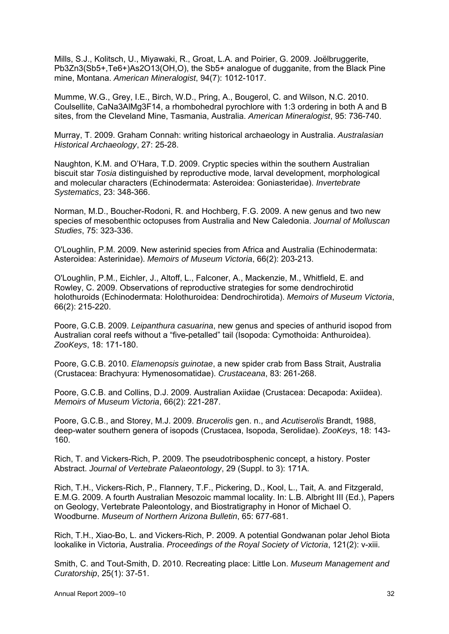Mills, S.J., Kolitsch, U., Miyawaki, R., Groat, L.A. and Poirier, G. 2009. Joëlbruggerite, Pb3Zn3(Sb5+,Te6+)As2O13(OH,O), the Sb5+ analogue of dugganite, from the Black Pine mine, Montana. *American Mineralogist*, 94(7): 1012-1017.

Mumme, W.G., Grey, I.E., Birch, W.D., Pring, A., Bougerol, C. and Wilson, N.C. 2010. Coulsellite, CaNa3AlMg3F14, a rhombohedral pyrochlore with 1:3 ordering in both A and B sites, from the Cleveland Mine, Tasmania, Australia. *American Mineralogist*, 95: 736-740.

Murray, T. 2009. Graham Connah: writing historical archaeology in Australia. *Australasian Historical Archaeology*, 27: 25-28.

Naughton, K.M. and O'Hara, T.D. 2009. Cryptic species within the southern Australian biscuit star *Tosia* distinguished by reproductive mode, larval development, morphological and molecular characters (Echinodermata: Asteroidea: Goniasteridae). *Invertebrate Systematics*, 23: 348-366.

Norman, M.D., Boucher-Rodoni, R. and Hochberg, F.G. 2009. A new genus and two new species of mesobenthic octopuses from Australia and New Caledonia. *Journal of Molluscan Studies*, 75: 323-336.

O'Loughlin, P.M. 2009. New asterinid species from Africa and Australia (Echinodermata: Asteroidea: Asterinidae). *Memoirs of Museum Victoria*, 66(2): 203-213.

O'Loughlin, P.M., Eichler, J., Altoff, L., Falconer, A., Mackenzie, M., Whitfield, E. and Rowley, C. 2009. Observations of reproductive strategies for some dendrochirotid holothuroids (Echinodermata: Holothuroidea: Dendrochirotida). *Memoirs of Museum Victoria*, 66(2): 215-220.

Poore, G.C.B. 2009. *Leipanthura casuarina*, new genus and species of anthurid isopod from Australian coral reefs without a "five-petalled" tail (Isopoda: Cymothoida: Anthuroidea). *ZooKeys*, 18: 171-180.

Poore, G.C.B. 2010. *Elamenopsis guinotae*, a new spider crab from Bass Strait, Australia (Crustacea: Brachyura: Hymenosomatidae). *Crustaceana*, 83: 261-268.

Poore, G.C.B. and Collins, D.J. 2009. Australian Axiidae (Crustacea: Decapoda: Axiidea). *Memoirs of Museum Victoria*, 66(2): 221-287.

Poore, G.C.B., and Storey, M.J. 2009. *Brucerolis* gen. n., and *Acutiserolis* Brandt, 1988, deep-water southern genera of isopods (Crustacea, Isopoda, Serolidae). *ZooKeys*, 18: 143- 160.

Rich, T. and Vickers-Rich, P. 2009. The pseudotribosphenic concept, a history. Poster Abstract. *Journal of Vertebrate Palaeontology*, 29 (Suppl. to 3): 171A.

Rich, T.H., Vickers-Rich, P., Flannery, T.F., Pickering, D., Kool, L., Tait, A. and Fitzgerald, E.M.G. 2009. A fourth Australian Mesozoic mammal locality. In: L.B. Albright III (Ed.), Papers on Geology, Vertebrate Paleontology, and Biostratigraphy in Honor of Michael O. Woodburne. *Museum of Northern Arizona Bulletin*, 65: 677-681.

Rich, T.H., Xiao-Bo, L. and Vickers-Rich, P. 2009. A potential Gondwanan polar Jehol Biota lookalike in Victoria, Australia. *Proceedings of the Royal Society of Victoria*, 121(2): v-xiii.

Smith, C. and Tout-Smith, D. 2010. Recreating place: Little Lon. *Museum Management and Curatorship*, 25(1): 37-51.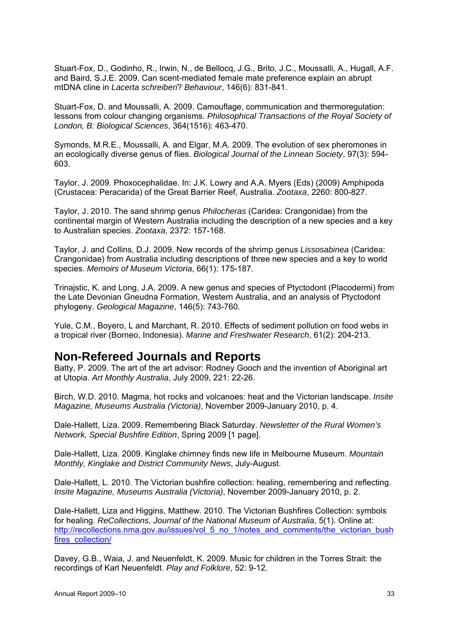Stuart-Fox, D., Godinho, R., Irwin, N., de Bellocq, J.G., Brito, J.C., Moussalli, A., Hugall, A.F. and Baird, S.J.E. 2009. Can scent-mediated female mate preference explain an abrupt mtDNA cline in *Lacerta schreiberi*? *Behaviour*, 146(6): 831-841.

Stuart-Fox, D. and Moussalli, A. 2009. Camouflage, communication and thermoregulation: lessons from colour changing organisms. *Philosophical Transactions of the Royal Society of London, B: Biological Sciences*, 364(1516): 463-470.

Symonds, M.R.E., Moussalli, A. and Elgar, M.A. 2009. The evolution of sex pheromones in an ecologically diverse genus of flies. *Biological Journal of the Linnean Society*, 97(3): 594- 603.

Taylor, J. 2009. Phoxocephalidae. In: J.K. Lowry and A.A. Myers (Eds) (2009) Amphipoda (Crustacea: Peracarida) of the Great Barrier Reef, Australia. *Zootaxa*, 2260: 800-827.

Taylor, J. 2010. The sand shrimp genus *Philocheras* (Caridea: Crangonidae) from the continental margin of Western Australia including the description of a new species and a key to Australian species. *Zootaxa*, 2372: 157-168.

Taylor, J. and Collins, D.J. 2009. New records of the shrimp genus *Lissosabinea* (Caridea: Crangonidae) from Australia including descriptions of three new species and a key to world species. *Memoirs of Museum Victoria*, 66(1): 175-187.

Trinajstic, K. and Long, J.A. 2009. A new genus and species of Ptyctodont (Placodermi) from the Late Devonian Gneudna Formation, Western Australia, and an analysis of Ptyctodont phylogeny. *Geological Magazine*, 146(5): 743-760.

Yule, C.M., Boyero, L and Marchant, R. 2010. Effects of sediment pollution on food webs in a tropical river (Borneo, Indonesia). *Marine and Freshwater Research*, 61(2): 204-213.

### **Non-Refereed Journals and Reports**

Batty, P. 2009. The art of the art advisor: Rodney Gooch and the invention of Aboriginal art at Utopia. *Art Monthly Australia*, July 2009, 221: 22-26.

Birch, W.D. 2010. Magma, hot rocks and volcanoes: heat and the Victorian landscape. *Insite Magazine, Museums Australia (Victoria)*, November 2009-January 2010, p. 4.

Dale-Hallett, Liza. 2009. Remembering Black Saturday. *Newsletter of the Rural Women's Network, Special Bushfire Edition*, Spring 2009 [1 page].

Dale-Hallett, Liza. 2009. Kinglake chimney finds new life in Melbourne Museum. *Mountain Monthly, Kinglake and District Community News*, July-August.

Dale-Hallett, L. 2010. The Victorian bushfire collection: healing, remembering and reflecting. *Insite Magazine, Museums Australia (Victoria)*, November 2009-January 2010, p. 2.

Dale-Hallett, Liza and Higgins, Matthew. 2010. The Victorian Bushfires Collection: symbols for healing. *ReCollections, Journal of the National Museum of Australia*, 5(1). Online at: http://recollections.nma.gov.au/issues/vol\_5\_no\_1/notes\_and\_comments/the\_victorian\_bush fires\_collection/

Davey, G.B., Waia, J. and Neuenfeldt, K. 2009. Music for children in the Torres Strait: the recordings of Karl Neuenfeldt. *Play and Folklore*, 52: 9-12.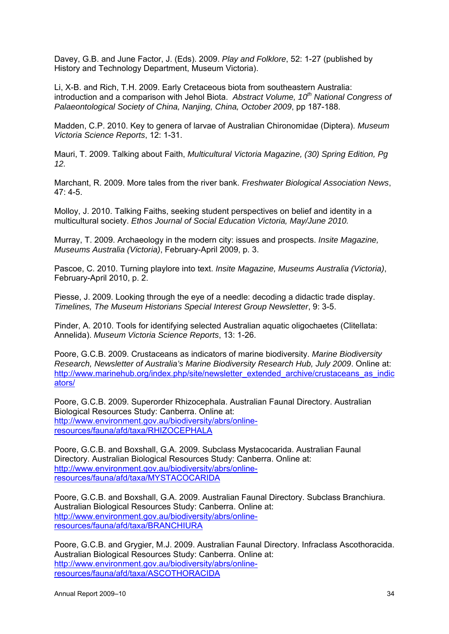Davey, G.B. and June Factor, J. (Eds). 2009. *Play and Folklore*, 52: 1-27 (published by History and Technology Department, Museum Victoria).

Li, X-B. and Rich, T.H. 2009. Early Cretaceous biota from southeastern Australia: introduction and a comparison with Jehol Biota. *Abstract Volume, 10th National Congress of Palaeontological Society of China, Nanjing, China, October 2009*, pp 187-188.

Madden, C.P. 2010. Key to genera of larvae of Australian Chironomidae (Diptera). *Museum Victoria Science Reports*, 12: 1-31.

Mauri, T. 2009. Talking about Faith, *Multicultural Victoria Magazine, (30) Spring Edition, Pg 12.* 

Marchant, R. 2009. More tales from the river bank. *Freshwater Biological Association News*, 47: 4-5.

Molloy, J. 2010. Talking Faiths, seeking student perspectives on belief and identity in a multicultural society. *Ethos Journal of Social Education Victoria, May/June 2010.* 

Murray, T. 2009. Archaeology in the modern city: issues and prospects. *Insite Magazine, Museums Australia (Victoria)*, February-April 2009, p. 3.

Pascoe, C. 2010. Turning playlore into text. *Insite Magazine, Museums Australia (Victoria)*, February-April 2010, p. 2.

Piesse, J. 2009. Looking through the eye of a needle: decoding a didactic trade display. *Timelines, The Museum Historians Special Interest Group Newsletter*, 9: 3-5.

Pinder, A. 2010. Tools for identifying selected Australian aquatic oligochaetes (Clitellata: Annelida). *Museum Victoria Science Reports*, 13: 1-26.

Poore, G.C.B. 2009. Crustaceans as indicators of marine biodiversity. *Marine Biodiversity Research, Newsletter of Australia's Marine Biodiversity Research Hub, July 2009*. Online at: http://www.marinehub.org/index.php/site/newsletter\_extended\_archive/crustaceans\_as\_indic ators/

Poore, G.C.B. 2009. Superorder Rhizocephala. Australian Faunal Directory. Australian Biological Resources Study: Canberra. Online at: http://www.environment.gov.au/biodiversity/abrs/onlineresources/fauna/afd/taxa/RHIZOCEPHALA

Poore, G.C.B. and Boxshall, G.A. 2009. Subclass Mystacocarida. Australian Faunal Directory. Australian Biological Resources Study: Canberra. Online at: http://www.environment.gov.au/biodiversity/abrs/onlineresources/fauna/afd/taxa/MYSTACOCARIDA

Poore, G.C.B. and Boxshall, G.A. 2009. Australian Faunal Directory. Subclass Branchiura. Australian Biological Resources Study: Canberra. Online at: http://www.environment.gov.au/biodiversity/abrs/onlineresources/fauna/afd/taxa/BRANCHIURA

Poore, G.C.B. and Grygier, M.J. 2009. Australian Faunal Directory. Infraclass Ascothoracida. Australian Biological Resources Study: Canberra. Online at: http://www.environment.gov.au/biodiversity/abrs/onlineresources/fauna/afd/taxa/ASCOTHORACIDA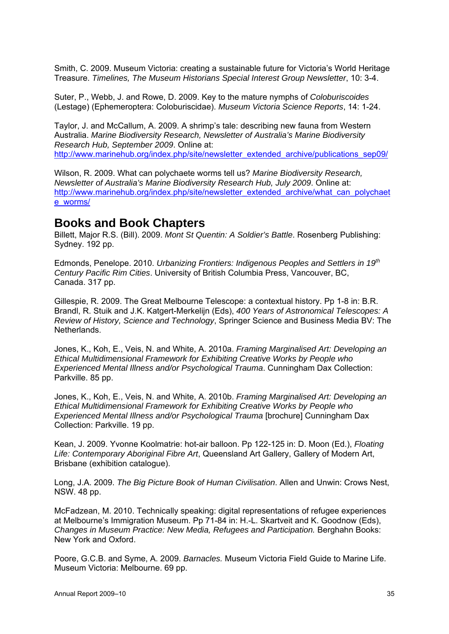Smith, C. 2009. Museum Victoria: creating a sustainable future for Victoria's World Heritage Treasure. *Timelines, The Museum Historians Special Interest Group Newsletter*, 10: 3-4.

Suter, P., Webb, J. and Rowe, D. 2009. Key to the mature nymphs of *Coloburiscoides* (Lestage) (Ephemeroptera: Coloburiscidae). *Museum Victoria Science Reports*, 14: 1-24.

Taylor, J. and McCallum, A. 2009. A shrimp's tale: describing new fauna from Western Australia. *Marine Biodiversity Research, Newsletter of Australia's Marine Biodiversity Research Hub, September 2009*. Online at: http://www.marinehub.org/index.php/site/newsletter\_extended\_archive/publications\_sep09/

Wilson, R. 2009. What can polychaete worms tell us? *Marine Biodiversity Research, Newsletter of Australia's Marine Biodiversity Research Hub, July 2009*. Online at: http://www.marinehub.org/index.php/site/newsletter\_extended\_archive/what\_can\_polychaet e\_worms/

### **Books and Book Chapters**

Billett, Major R.S. (Bill). 2009. *Mont St Quentin: A Soldier's Battle*. Rosenberg Publishing: Sydney. 192 pp.

Edmonds, Penelope. 2010. *Urbanizing Frontiers: Indigenous Peoples and Settlers in 19th Century Pacific Rim Cities*. University of British Columbia Press, Vancouver, BC, Canada. 317 pp.

Gillespie, R. 2009. The Great Melbourne Telescope: a contextual history. Pp 1-8 in: B.R. Brandl, R. Stuik and J.K. Katgert-Merkelijn (Eds), *400 Years of Astronomical Telescopes: A Review of History, Science and Technology*, Springer Science and Business Media BV: The Netherlands.

Jones, K., Koh, E., Veis, N. and White, A. 2010a. *Framing Marginalised Art: Developing an Ethical Multidimensional Framework for Exhibiting Creative Works by People who Experienced Mental Illness and/or Psychological Trauma*. Cunningham Dax Collection: Parkville. 85 pp.

Jones, K., Koh, E., Veis, N. and White, A. 2010b. *Framing Marginalised Art: Developing an Ethical Multidimensional Framework for Exhibiting Creative Works by People who Experienced Mental Illness and/or Psychological Trauma* [brochure] Cunningham Dax Collection: Parkville. 19 pp.

Kean, J. 2009. Yvonne Koolmatrie: hot-air balloon. Pp 122-125 in: D. Moon (Ed.), *Floating Life: Contemporary Aboriginal Fibre Art*, Queensland Art Gallery, Gallery of Modern Art, Brisbane (exhibition catalogue).

Long, J.A. 2009. *The Big Picture Book of Human Civilisation*. Allen and Unwin: Crows Nest, NSW. 48 pp.

McFadzean, M. 2010. Technically speaking: digital representations of refugee experiences at Melbourne's Immigration Museum. Pp 71-84 in: H.-L. Skartveit and K. Goodnow (Eds), *Changes in Museum Practice: New Media, Refugees and Participation.* Berghahn Books: New York and Oxford.

Poore, G.C.B. and Syme, A. 2009. *Barnacles.* Museum Victoria Field Guide to Marine Life. Museum Victoria: Melbourne. 69 pp.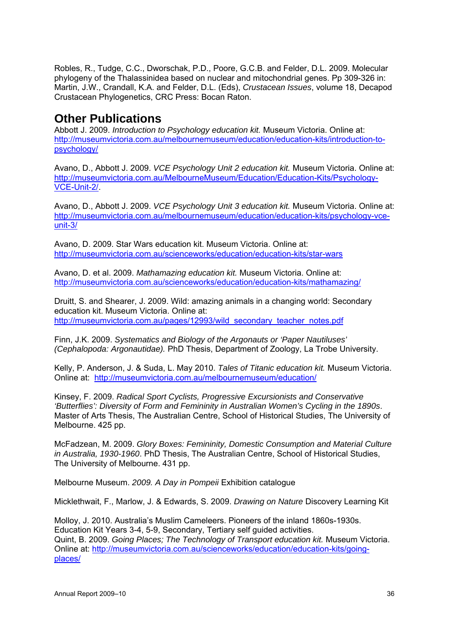Robles, R., Tudge, C.C., Dworschak, P.D., Poore, G.C.B. and Felder, D.L. 2009. Molecular phylogeny of the Thalassinidea based on nuclear and mitochondrial genes. Pp 309-326 in: Martin, J.W., Crandall, K.A. and Felder, D.L. (Eds), *Crustacean Issues*, volume 18, Decapod Crustacean Phylogenetics, CRC Press: Bocan Raton.

### **Other Publications**

Abbott J. 2009. *Introduction to Psychology education kit.* Museum Victoria. Online at: http://museumvictoria.com.au/melbournemuseum/education/education-kits/introduction-topsychology/

Avano, D., Abbott J. 2009. *VCE Psychology Unit 2 education kit.* Museum Victoria. Online at: http://museumvictoria.com.au/MelbourneMuseum/Education/Education-Kits/Psychology-VCE-Unit-2/.

Avano, D., Abbott J. 2009. *VCE Psychology Unit 3 education kit.* Museum Victoria. Online at: http://museumvictoria.com.au/melbournemuseum/education/education-kits/psychology-vceunit-3/

Avano, D. 2009. Star Wars education kit. Museum Victoria. Online at: http://museumvictoria.com.au/scienceworks/education/education-kits/star-wars

Avano, D. et al. 2009. *Mathamazing education kit.* Museum Victoria. Online at: http://museumvictoria.com.au/scienceworks/education/education-kits/mathamazing/

Druitt, S. and Shearer, J. 2009. Wild: amazing animals in a changing world: Secondary education kit. Museum Victoria. Online at: http://museumvictoria.com.au/pages/12993/wild\_secondary\_teacher\_notes.pdf

Finn, J.K. 2009. *Systematics and Biology of the Argonauts or 'Paper Nautiluses' (Cephalopoda: Argonautidae).* PhD Thesis, Department of Zoology, La Trobe University.

Kelly, P. Anderson, J. & Suda, L. May 2010. *Tales of Titanic education kit.* Museum Victoria. Online at: http://museumvictoria.com.au/melbournemuseum/education/

Kinsey, F. 2009. *Radical Sport Cyclists, Progressive Excursionists and Conservative 'Butterflies': Diversity of Form and Femininity in Australian Women's Cycling in the 1890s*. Master of Arts Thesis, The Australian Centre, School of Historical Studies, The University of Melbourne. 425 pp.

McFadzean, M. 2009. *Glory Boxes: Femininity, Domestic Consumption and Material Culture in Australia, 1930-1960*. PhD Thesis, The Australian Centre, School of Historical Studies, The University of Melbourne. 431 pp.

Melbourne Museum. *2009. A Day in Pompeii* Exhibition catalogue

Micklethwait, F., Marlow, J. & Edwards, S. 2009. *Drawing on Nature* Discovery Learning Kit

Molloy, J. 2010. Australia's Muslim Cameleers. Pioneers of the inland 1860s-1930s. Education Kit Years 3-4, 5-9, Secondary, Tertiary self guided activities. Quint, B. 2009. *Going Places; The Technology of Transport education kit.* Museum Victoria. Online at: http://museumvictoria.com.au/scienceworks/education/education-kits/goingplaces/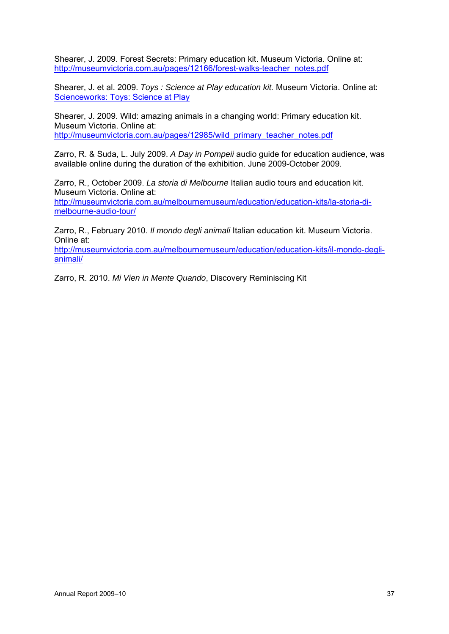Shearer, J. 2009. Forest Secrets: Primary education kit. Museum Victoria. Online at: http://museumvictoria.com.au/pages/12166/forest-walks-teacher\_notes.pdf

Shearer, J. et al. 2009. *Toys : Science at Play education kit.* Museum Victoria. Online at: Scienceworks: Toys: Science at Play

Shearer, J. 2009. Wild: amazing animals in a changing world: Primary education kit. Museum Victoria. Online at: http://museumvictoria.com.au/pages/12985/wild\_primary\_teacher\_notes.pdf

Zarro, R. & Suda, L. July 2009. *A Day in Pompeii* audio guide for education audience, was available online during the duration of the exhibition. June 2009-October 2009.

Zarro, R., October 2009. *La storia di Melbourne* Italian audio tours and education kit. Museum Victoria. Online at: http://museumvictoria.com.au/melbournemuseum/education/education-kits/la-storia-dimelbourne-audio-tour/

Zarro, R., February 2010. *Il mondo degli animali* Italian education kit. Museum Victoria. Online at:

http://museumvictoria.com.au/melbournemuseum/education/education-kits/il-mondo-deglianimali/

Zarro, R. 2010. *Mi Vien in Mente Quando*, Discovery Reminiscing Kit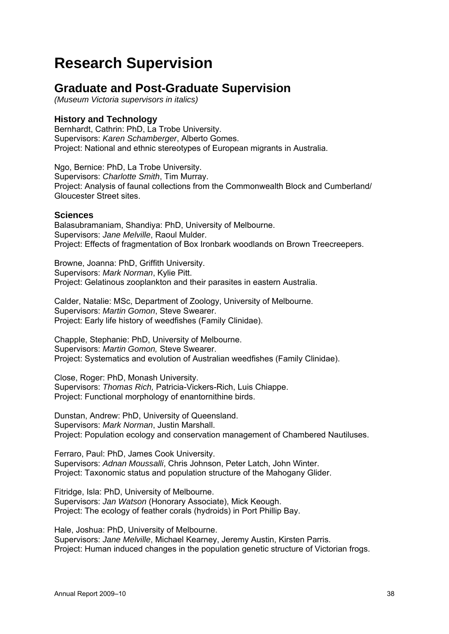## **Research Supervision**

## **Graduate and Post-Graduate Supervision**

*(Museum Victoria supervisors in italics)* 

#### **History and Technology**

Bernhardt, Cathrin: PhD, La Trobe University. Supervisors: *Karen Schamberger*, Alberto Gomes. Project: National and ethnic stereotypes of European migrants in Australia.

Ngo, Bernice: PhD, La Trobe University. Supervisors: *Charlotte Smith*, Tim Murray. Project: Analysis of faunal collections from the Commonwealth Block and Cumberland/ Gloucester Street sites.

#### **Sciences**

Balasubramaniam, Shandiya: PhD, University of Melbourne. Supervisors: *Jane Melville*, Raoul Mulder. Project: Effects of fragmentation of Box Ironbark woodlands on Brown Treecreepers.

Browne, Joanna: PhD, Griffith University. Supervisors: *Mark Norman*, Kylie Pitt. Project: Gelatinous zooplankton and their parasites in eastern Australia.

Calder, Natalie: MSc, Department of Zoology, University of Melbourne. Supervisors: *Martin Gomon*, Steve Swearer. Project: Early life history of weedfishes (Family Clinidae).

Chapple, Stephanie: PhD, University of Melbourne. Supervisors: *Martin Gomon,* Steve Swearer. Project: Systematics and evolution of Australian weedfishes (Family Clinidae).

Close, Roger: PhD, Monash University. Supervisors: *Thomas Rich,* Patricia-Vickers-Rich, Luis Chiappe. Project: Functional morphology of enantornithine birds.

Dunstan, Andrew: PhD, University of Queensland. Supervisors: *Mark Norman*, Justin Marshall. Project: Population ecology and conservation management of Chambered Nautiluses.

Ferraro, Paul: PhD, James Cook University. Supervisors: *Adnan Moussalli*, Chris Johnson, Peter Latch, John Winter. Project: Taxonomic status and population structure of the Mahogany Glider.

Fitridge, Isla: PhD, University of Melbourne. Supervisors: *Jan Watson* (Honorary Associate), Mick Keough. Project: The ecology of feather corals (hydroids) in Port Phillip Bay.

Hale, Joshua: PhD, University of Melbourne. Supervisors: *Jane Melville*, Michael Kearney, Jeremy Austin, Kirsten Parris. Project: Human induced changes in the population genetic structure of Victorian frogs.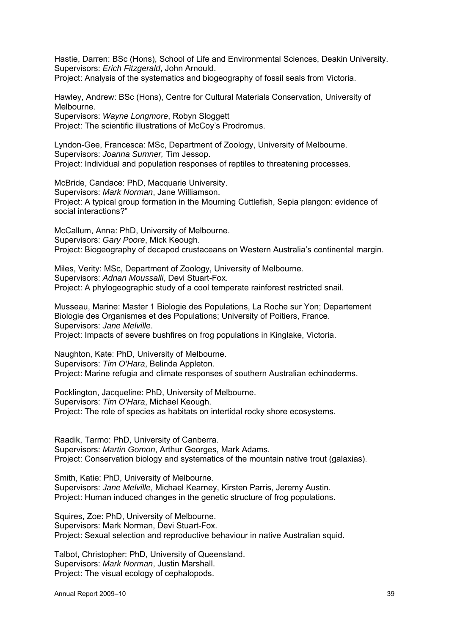Hastie, Darren: BSc (Hons), School of Life and Environmental Sciences, Deakin University. Supervisors: *Erich Fitzgerald*, John Arnould. Project: Analysis of the systematics and biogeography of fossil seals from Victoria.

Hawley, Andrew: BSc (Hons), Centre for Cultural Materials Conservation, University of Melbourne. Supervisors: *Wayne Longmore*, Robyn Sloggett

Project: The scientific illustrations of McCoy's Prodromus.

Lyndon-Gee, Francesca: MSc, Department of Zoology, University of Melbourne. Supervisors: *Joanna Sumner,* Tim Jessop. Project: Individual and population responses of reptiles to threatening processes.

McBride, Candace: PhD, Macquarie University. Supervisors: *Mark Norman*, Jane Williamson. Project: A typical group formation in the Mourning Cuttlefish, Sepia plangon: evidence of social interactions?"

McCallum, Anna: PhD, University of Melbourne. Supervisors: *Gary Poore*, Mick Keough. Project: Biogeography of decapod crustaceans on Western Australia's continental margin.

Miles, Verity: MSc, Department of Zoology, University of Melbourne. Supervisors: *Adnan Moussalli*, Devi Stuart-Fox. Project: A phylogeographic study of a cool temperate rainforest restricted snail.

Musseau, Marine: Master 1 Biologie des Populations, La Roche sur Yon; Departement Biologie des Organismes et des Populations; University of Poitiers, France. Supervisors: *Jane Melville*.

Project: Impacts of severe bushfires on frog populations in Kinglake, Victoria.

Naughton, Kate: PhD, University of Melbourne. Supervisors: *Tim O'Hara*, Belinda Appleton. Project: Marine refugia and climate responses of southern Australian echinoderms.

Pocklington, Jacqueline: PhD, University of Melbourne. Supervisors: *Tim O'Hara*, Michael Keough. Project: The role of species as habitats on intertidal rocky shore ecosystems.

Raadik, Tarmo: PhD, University of Canberra. Supervisors: *Martin Gomon*, Arthur Georges, Mark Adams. Project: Conservation biology and systematics of the mountain native trout (galaxias).

Smith, Katie: PhD, University of Melbourne. Supervisors: *Jane Melville*, Michael Kearney, Kirsten Parris, Jeremy Austin. Project: Human induced changes in the genetic structure of frog populations.

Squires, Zoe: PhD, University of Melbourne. Supervisors: Mark Norman, Devi Stuart-Fox. Project: Sexual selection and reproductive behaviour in native Australian squid.

Talbot, Christopher: PhD, University of Queensland. Supervisors: *Mark Norman*, Justin Marshall. Project: The visual ecology of cephalopods.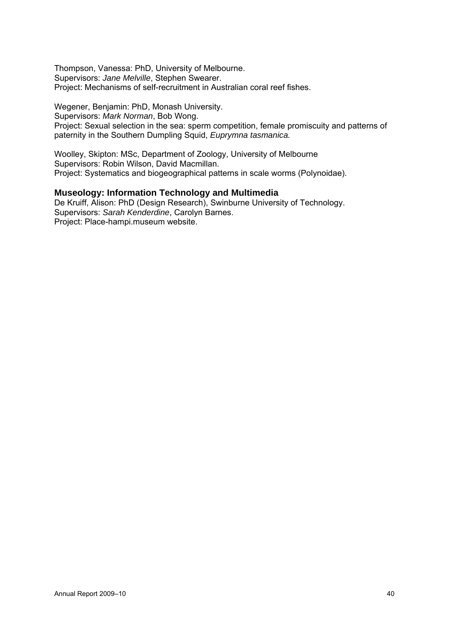Thompson, Vanessa: PhD, University of Melbourne. Supervisors: *Jane Melville*, Stephen Swearer. Project: Mechanisms of self-recruitment in Australian coral reef fishes.

Wegener, Benjamin: PhD, Monash University. Supervisors: *Mark Norman*, Bob Wong. Project: Sexual selection in the sea: sperm competition, female promiscuity and patterns of paternity in the Southern Dumpling Squid, *Euprymna tasmanica.*

Woolley, Skipton: MSc, Department of Zoology, University of Melbourne Supervisors: Robin Wilson, David Macmillan. Project: Systematics and biogeographical patterns in scale worms (Polynoidae).

#### **Museology: Information Technology and Multimedia**

De Kruiff, Alison: PhD (Design Research), Swinburne University of Technology. Supervisors: *Sarah Kenderdine*, Carolyn Barnes. Project: Place-hampi.museum website.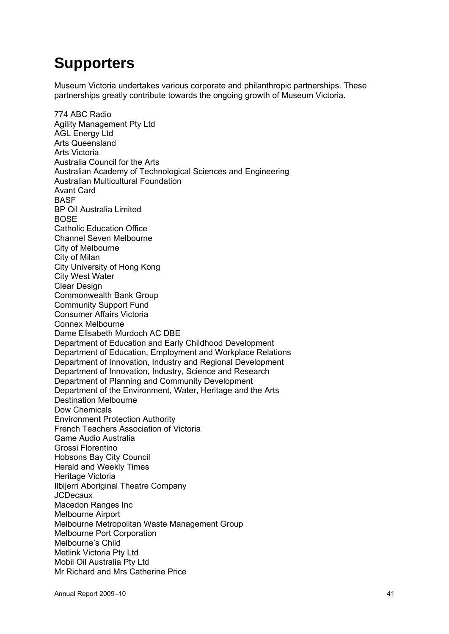## **Supporters**

Museum Victoria undertakes various corporate and philanthropic partnerships. These partnerships greatly contribute towards the ongoing growth of Museum Victoria.

774 ABC Radio Agility Management Pty Ltd AGL Energy Ltd Arts Queensland Arts Victoria Australia Council for the Arts Australian Academy of Technological Sciences and Engineering Australian Multicultural Foundation Avant Card BASF BP Oil Australia Limited **BOSE** Catholic Education Office Channel Seven Melbourne City of Melbourne City of Milan City University of Hong Kong City West Water Clear Design Commonwealth Bank Group Community Support Fund Consumer Affairs Victoria Connex Melbourne Dame Elisabeth Murdoch AC DBE Department of Education and Early Childhood Development Department of Education, Employment and Workplace Relations Department of Innovation, Industry and Regional Development Department of Innovation, Industry, Science and Research Department of Planning and Community Development Department of the Environment, Water, Heritage and the Arts Destination Melbourne Dow Chemicals Environment Protection Authority French Teachers Association of Victoria Game Audio Australia Grossi Florentino Hobsons Bay City Council Herald and Weekly Times Heritage Victoria Ilbijerri Aboriginal Theatre Company **JCDecaux** Macedon Ranges Inc Melbourne Airport Melbourne Metropolitan Waste Management Group Melbourne Port Corporation Melbourne's Child Metlink Victoria Pty Ltd Mobil Oil Australia Pty Ltd Mr Richard and Mrs Catherine Price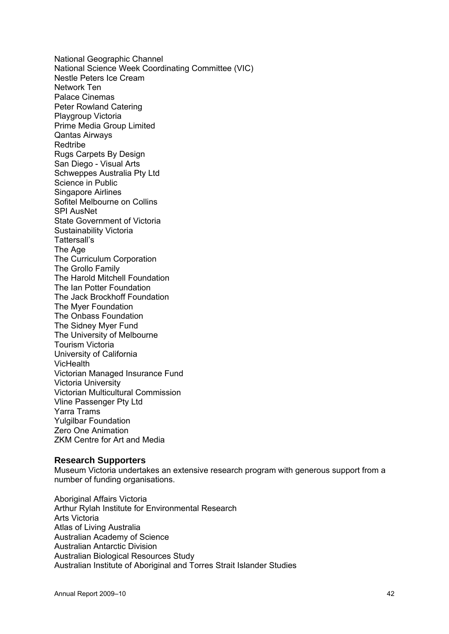National Geographic Channel National Science Week Coordinating Committee (VIC) Nestle Peters Ice Cream Network Ten Palace Cinemas Peter Rowland Catering Playgroup Victoria Prime Media Group Limited Qantas Airways Redtribe Rugs Carpets By Design San Diego - Visual Arts Schweppes Australia Pty Ltd Science in Public Singapore Airlines Sofitel Melbourne on Collins SPI AusNet State Government of Victoria Sustainability Victoria Tattersall's The Age The Curriculum Corporation The Grollo Family The Harold Mitchell Foundation The Ian Potter Foundation The Jack Brockhoff Foundation The Myer Foundation The Onbass Foundation The Sidney Myer Fund The University of Melbourne Tourism Victoria University of California **VicHealth** Victorian Managed Insurance Fund Victoria University Victorian Multicultural Commission Vline Passenger Pty Ltd Yarra Trams Yulgilbar Foundation Zero One Animation ZKM Centre for Art and Media

#### **Research Supporters**

Museum Victoria undertakes an extensive research program with generous support from a number of funding organisations.

Aboriginal Affairs Victoria Arthur Rylah Institute for Environmental Research Arts Victoria Atlas of Living Australia Australian Academy of Science Australian Antarctic Division Australian Biological Resources Study Australian Institute of Aboriginal and Torres Strait Islander Studies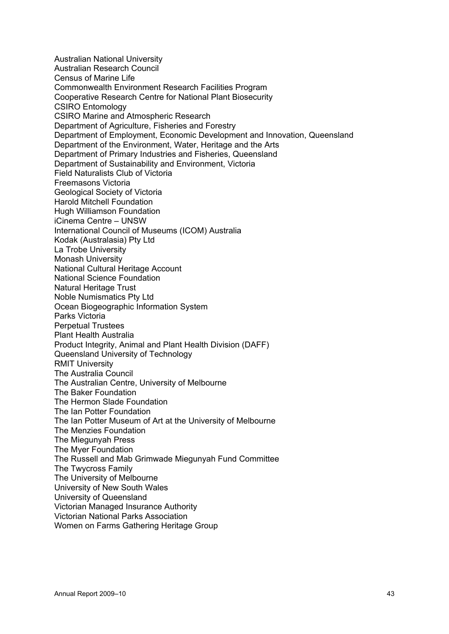Australian National University Australian Research Council Census of Marine Life Commonwealth Environment Research Facilities Program Cooperative Research Centre for National Plant Biosecurity CSIRO Entomology CSIRO Marine and Atmospheric Research Department of Agriculture, Fisheries and Forestry Department of Employment, Economic Development and Innovation, Queensland Department of the Environment, Water, Heritage and the Arts Department of Primary Industries and Fisheries, Queensland Department of Sustainability and Environment, Victoria Field Naturalists Club of Victoria Freemasons Victoria Geological Society of Victoria Harold Mitchell Foundation Hugh Williamson Foundation iCinema Centre – UNSW International Council of Museums (ICOM) Australia Kodak (Australasia) Pty Ltd La Trobe University Monash University National Cultural Heritage Account National Science Foundation Natural Heritage Trust Noble Numismatics Pty Ltd Ocean Biogeographic Information System Parks Victoria Perpetual Trustees Plant Health Australia Product Integrity, Animal and Plant Health Division (DAFF) Queensland University of Technology RMIT University The Australia Council The Australian Centre, University of Melbourne The Baker Foundation The Hermon Slade Foundation The Ian Potter Foundation The Ian Potter Museum of Art at the University of Melbourne The Menzies Foundation The Miegunyah Press The Myer Foundation The Russell and Mab Grimwade Miegunyah Fund Committee The Twycross Family The University of Melbourne University of New South Wales University of Queensland Victorian Managed Insurance Authority Victorian National Parks Association Women on Farms Gathering Heritage Group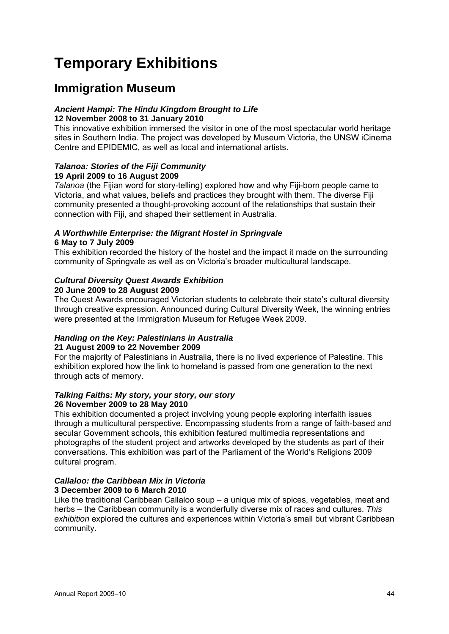## **Temporary Exhibitions**

## **Immigration Museum**

#### *Ancient Hampi: The Hindu Kingdom Brought to Life* **12 November 2008 to 31 January 2010**

This innovative exhibition immersed the visitor in one of the most spectacular world heritage sites in Southern India. The project was developed by Museum Victoria, the UNSW iCinema Centre and EPIDEMIC, as well as local and international artists.

#### *Talanoa: Stories of the Fiji Community*  **19 April 2009 to 16 August 2009**

*Talanoa* (the Fijian word for story-telling) explored how and why Fiji-born people came to Victoria, and what values, beliefs and practices they brought with them. The diverse Fiji community presented a thought-provoking account of the relationships that sustain their connection with Fiji, and shaped their settlement in Australia.

#### *A Worthwhile Enterprise: the Migrant Hostel in Springvale* **6 May to 7 July 2009**

This exhibition recorded the history of the hostel and the impact it made on the surrounding community of Springvale as well as on Victoria's broader multicultural landscape.

## *Cultural Diversity Quest Awards Exhibition*

**20 June 2009 to 28 August 2009** 

The Quest Awards encouraged Victorian students to celebrate their state's cultural diversity through creative expression. Announced during Cultural Diversity Week, the winning entries were presented at the Immigration Museum for Refugee Week 2009.

#### *Handing on the Key: Palestinians in Australia*  **21 August 2009 to 22 November 2009**

For the majority of Palestinians in Australia, there is no lived experience of Palestine. This exhibition explored how the link to homeland is passed from one generation to the next through acts of memory.

#### *Talking Faiths: My story, your story, our story*  **26 November 2009 to 28 May 2010**

This exhibition documented a project involving young people exploring interfaith issues through a multicultural perspective. Encompassing students from a range of faith-based and secular Government schools, this exhibition featured multimedia representations and photographs of the student project and artworks developed by the students as part of their conversations. This exhibition was part of the Parliament of the World's Religions 2009 cultural program.

#### *Callaloo: the Caribbean Mix in Victoria*  **3 December 2009 to 6 March 2010**

Like the traditional Caribbean Callaloo soup – a unique mix of spices, vegetables, meat and herbs – the Caribbean community is a wonderfully diverse mix of races and cultures. *This exhibition* explored the cultures and experiences within Victoria's small but vibrant Caribbean community.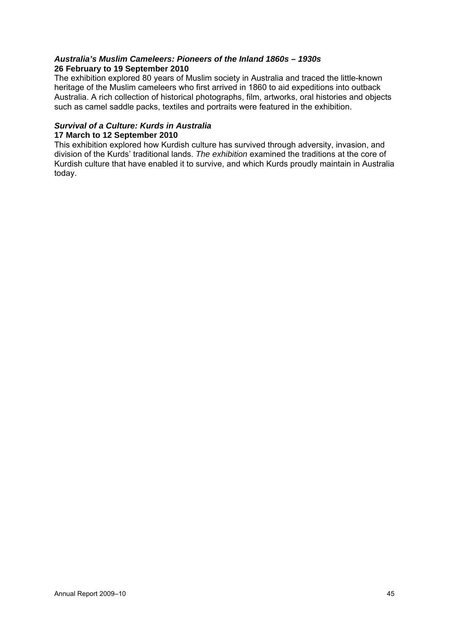#### *Australia's Muslim Cameleers: Pioneers of the Inland 1860s – 1930s* **26 February to 19 September 2010**

The exhibition explored 80 years of Muslim society in Australia and traced the little-known heritage of the Muslim cameleers who first arrived in 1860 to aid expeditions into outback Australia. A rich collection of historical photographs, film, artworks, oral histories and objects such as camel saddle packs, textiles and portraits were featured in the exhibition.

### *Survival of a Culture: Kurds in Australia*

#### **17 March to 12 September 2010**

This exhibition explored how Kurdish culture has survived through adversity, invasion, and division of the Kurds' traditional lands. *The exhibition* examined the traditions at the core of Kurdish culture that have enabled it to survive, and which Kurds proudly maintain in Australia today.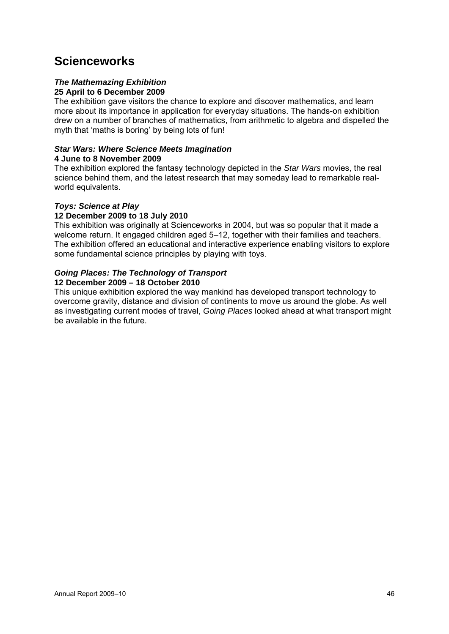## **Scienceworks**

#### *The Mathemazing Exhibition* **25 April to 6 December 2009**

The exhibition gave visitors the chance to explore and discover mathematics, and learn more about its importance in application for everyday situations. The hands-on exhibition drew on a number of branches of mathematics, from arithmetic to algebra and dispelled the myth that 'maths is boring' by being lots of fun!

### *Star Wars: Where Science Meets Imagination*

#### **4 June to 8 November 2009**

The exhibition explored the fantasy technology depicted in the *Star Wars* movies, the real science behind them, and the latest research that may someday lead to remarkable realworld equivalents.

#### *Toys: Science at Play*

#### **12 December 2009 to 18 July 2010**

This exhibition was originally at Scienceworks in 2004, but was so popular that it made a welcome return. It engaged children aged 5–12, together with their families and teachers. The exhibition offered an educational and interactive experience enabling visitors to explore some fundamental science principles by playing with toys.

#### *Going Places: The Technology of Transport*

#### **12 December 2009 – 18 October 2010**

This unique exhibition explored the way mankind has developed transport technology to overcome gravity, distance and division of continents to move us around the globe. As well as investigating current modes of travel, *Going Places* looked ahead at what transport might be available in the future.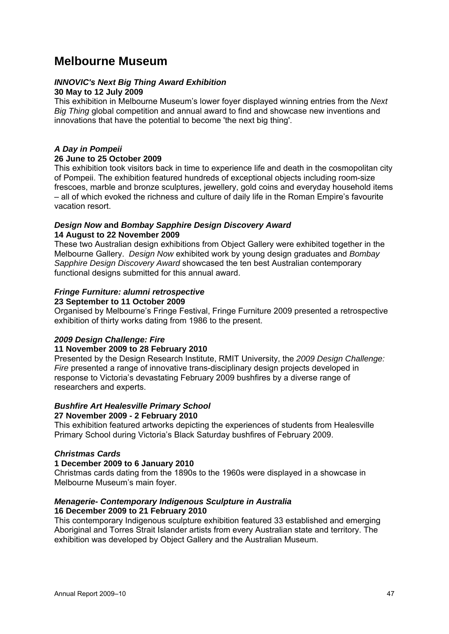## **Melbourne Museum**

#### *INNOVIC's Next Big Thing Award Exhibition*  **30 May to 12 July 2009**

This exhibition in Melbourne Museum's lower foyer displayed winning entries from the *Next Big Thing* global competition and annual award to find and showcase new inventions and innovations that have the potential to become 'the next big thing'.

#### *A Day in Pompeii*

#### **26 June to 25 October 2009**

This exhibition took visitors back in time to experience life and death in the cosmopolitan city of Pompeii. The exhibition featured hundreds of exceptional objects including room-size frescoes, marble and bronze sculptures, jewellery, gold coins and everyday household items – all of which evoked the richness and culture of daily life in the Roman Empire's favourite vacation resort.

#### *Design Now* **and** *Bombay Sapphire Design Discovery Award*  **14 August to 22 November 2009**

These two Australian design exhibitions from Object Gallery were exhibited together in the Melbourne Gallery. *Design Now* exhibited work by young design graduates and *Bombay Sapphire Design Discovery Award* showcased the ten best Australian contemporary functional designs submitted for this annual award.

#### *Fringe Furniture: alumni retrospective*

#### **23 September to 11 October 2009**

Organised by Melbourne's Fringe Festival, Fringe Furniture 2009 presented a retrospective exhibition of thirty works dating from 1986 to the present.

#### *2009 Design Challenge: Fire*

#### **11 November 2009 to 28 February 2010**

Presented by the Design Research Institute, RMIT University, the *2009 Design Challenge: Fire* presented a range of innovative trans-disciplinary design projects developed in response to Victoria's devastating February 2009 bushfires by a diverse range of researchers and experts.

#### *Bushfire Art Healesville Primary School*

#### **27 November 2009 - 2 February 2010**

This exhibition featured artworks depicting the experiences of students from Healesville Primary School during Victoria's Black Saturday bushfires of February 2009.

#### *Christmas Cards*

#### **1 December 2009 to 6 January 2010**

Christmas cards dating from the 1890s to the 1960s were displayed in a showcase in Melbourne Museum's main foyer.

#### *Menagerie- Contemporary Indigenous Sculpture in Australia*  **16 December 2009 to 21 February 2010**

This contemporary Indigenous sculpture exhibition featured 33 established and emerging Aboriginal and Torres Strait Islander artists from every Australian state and territory. The exhibition was developed by Object Gallery and the Australian Museum.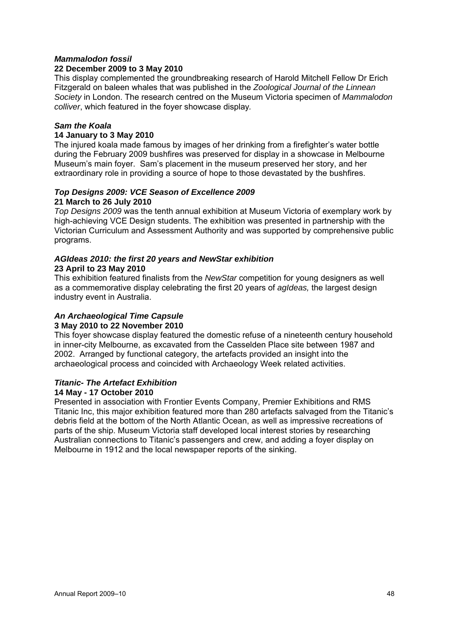#### *Mammalodon fossil*

#### **22 December 2009 to 3 May 2010**

This display complemented the groundbreaking research of Harold Mitchell Fellow Dr Erich Fitzgerald on baleen whales that was published in the *Zoological Journal of the Linnean Society* in London. The research centred on the Museum Victoria specimen of *Mammalodon colliver*, which featured in the foyer showcase display*.* 

#### *Sam the Koala*

#### **14 January to 3 May 2010**

The injured koala made famous by images of her drinking from a firefighter's water bottle during the February 2009 bushfires was preserved for display in a showcase in Melbourne Museum's main foyer. Sam's placement in the museum preserved her story, and her extraordinary role in providing a source of hope to those devastated by the bushfires.

#### *Top Designs 2009: VCE Season of Excellence 2009*  **21 March to 26 July 2010**

*Top Designs 2009* was the tenth annual exhibition at Museum Victoria of exemplary work by high-achieving VCE Design students. The exhibition was presented in partnership with the Victorian Curriculum and Assessment Authority and was supported by comprehensive public programs.

#### *AGIdeas 2010: the first 20 years and NewStar exhibition*  **23 April to 23 May 2010**

This exhibition featured finalists from the *NewStar* competition for young designers as well as a commemorative display celebrating the first 20 years of *agIdeas,* the largest design industry event in Australia.

## *An Archaeological Time Capsule*

#### **3 May 2010 to 22 November 2010**

This foyer showcase display featured the domestic refuse of a nineteenth century household in inner-city Melbourne, as excavated from the Casselden Place site between 1987 and 2002. Arranged by functional category, the artefacts provided an insight into the archaeological process and coincided with Archaeology Week related activities.

#### *Titanic- The Artefact Exhibition*

#### **14 May - 17 October 2010**

Presented in association with Frontier Events Company, Premier Exhibitions and RMS Titanic Inc, this major exhibition featured more than 280 artefacts salvaged from the Titanic's debris field at the bottom of the North Atlantic Ocean, as well as impressive recreations of parts of the ship. Museum Victoria staff developed local interest stories by researching Australian connections to Titanic's passengers and crew, and adding a foyer display on Melbourne in 1912 and the local newspaper reports of the sinking.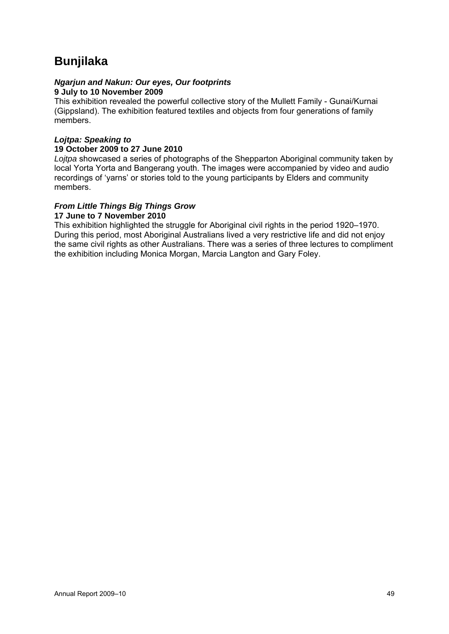## **Bunjilaka**

#### *Ngarjun and Nakun: Our eyes, Our footprints*  **9 July to 10 November 2009**

This exhibition revealed the powerful collective story of the Mullett Family - Gunai/Kurnai (Gippsland). The exhibition featured textiles and objects from four generations of family members.

#### *Lojtpa: Speaking to*  **19 October 2009 to 27 June 2010**

*Lojtpa* showcased a series of photographs of the Shepparton Aboriginal community taken by local Yorta Yorta and Bangerang youth. The images were accompanied by video and audio recordings of 'yarns' or stories told to the young participants by Elders and community members.

#### *From Little Things Big Things Grow*

#### **17 June to 7 November 2010**

This exhibition highlighted the struggle for Aboriginal civil rights in the period 1920–1970. During this period, most Aboriginal Australians lived a very restrictive life and did not enjoy the same civil rights as other Australians. There was a series of three lectures to compliment the exhibition including Monica Morgan, Marcia Langton and Gary Foley.